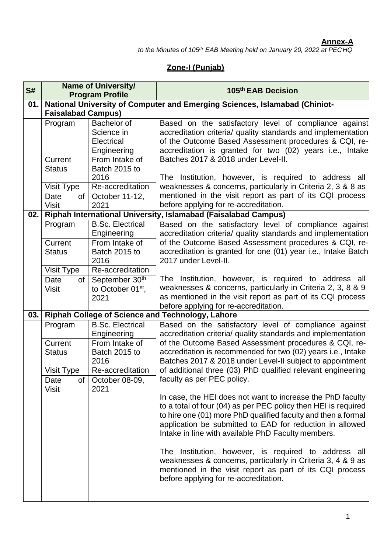#### **Annex-A**

*to the Minutes of 105th EAB Meeting held on January 20, 2022 at PECHQ*

## **Zone-I (Punjab)**

| S#  | <b>Name of University/</b><br><b>Program Profile</b>    |                                                                                                                       | 105th EAB Decision                                                                                                                                                                                                                                                                                                                                                                                                                                                                                                                          |
|-----|---------------------------------------------------------|-----------------------------------------------------------------------------------------------------------------------|---------------------------------------------------------------------------------------------------------------------------------------------------------------------------------------------------------------------------------------------------------------------------------------------------------------------------------------------------------------------------------------------------------------------------------------------------------------------------------------------------------------------------------------------|
| 01. | <b>Faisalabad Campus)</b>                               |                                                                                                                       | National University of Computer and Emerging Sciences, Islamabad (Chiniot-                                                                                                                                                                                                                                                                                                                                                                                                                                                                  |
|     | Program<br>Current<br><b>Status</b><br>Visit Type<br>of | Bachelor of<br>Science in<br>Electrical<br>Engineering<br>From Intake of<br>Batch 2015 to<br>2016<br>Re-accreditation | Based on the satisfactory level of compliance against<br>accreditation criteria/ quality standards and implementation<br>of the Outcome Based Assessment procedures & CQI, re-<br>accreditation is granted for two (02) years i.e., Intake<br>Batches 2017 & 2018 under Level-II.<br>The Institution, however, is required to address all<br>weaknesses & concerns, particularly in Criteria 2, 3 & 8 as<br>mentioned in the visit report as part of its CQI process                                                                        |
|     | Date<br><b>Visit</b>                                    | October 11-12,<br>2021                                                                                                | before applying for re-accreditation.                                                                                                                                                                                                                                                                                                                                                                                                                                                                                                       |
| 02. |                                                         |                                                                                                                       | Riphah International University, Islamabad (Faisalabad Campus)                                                                                                                                                                                                                                                                                                                                                                                                                                                                              |
|     | Program<br>Current<br><b>Status</b>                     | <b>B.Sc. Electrical</b><br>Engineering<br>From Intake of<br>Batch 2015 to<br>2016                                     | Based on the satisfactory level of compliance against<br>accreditation criteria/ quality standards and implementation<br>of the Outcome Based Assessment procedures & CQI, re-<br>accreditation is granted for one (01) year i.e., Intake Batch<br>2017 under Level-II.                                                                                                                                                                                                                                                                     |
|     | Visit Type<br>of<br>Date<br><b>Visit</b>                | Re-accreditation<br>September 30th<br>to October 01 <sup>st</sup> ,<br>2021                                           | The Institution, however, is required to address all<br>weaknesses & concerns, particularly in Criteria 2, 3, 8 & 9<br>as mentioned in the visit report as part of its CQI process<br>before applying for re-accreditation.                                                                                                                                                                                                                                                                                                                 |
| 03. |                                                         |                                                                                                                       | Riphah College of Science and Technology, Lahore                                                                                                                                                                                                                                                                                                                                                                                                                                                                                            |
|     | Program<br>Current<br><b>Status</b>                     | <b>B.Sc. Electrical</b><br>Engineering<br>From Intake of<br>Batch 2015 to                                             | Based on the satisfactory level of compliance against<br>accreditation criteria/ quality standards and implementation<br>of the Outcome Based Assessment procedures & CQI, re-<br>accreditation is recommended for two (02) years i.e., Intake                                                                                                                                                                                                                                                                                              |
|     | Visit Type<br>Date                                      | 2016<br>Re-accreditation<br>of $\vert$ October 08-09,                                                                 | Batches 2017 & 2018 under Level-II subject to appointment<br>of additional three (03) PhD qualified relevant engineering<br>faculty as per PEC policy.                                                                                                                                                                                                                                                                                                                                                                                      |
|     | <b>Visit</b>                                            | 2021                                                                                                                  | In case, the HEI does not want to increase the PhD faculty<br>to a total of four (04) as per PEC policy then HEI is required<br>to hire one (01) more PhD qualified faculty and then a formal<br>application be submitted to EAD for reduction in allowed<br>Intake in line with available PhD Faculty members.<br>The Institution, however, is required to address all<br>weaknesses & concerns, particularly in Criteria 3, 4 & 9 as<br>mentioned in the visit report as part of its CQI process<br>before applying for re-accreditation. |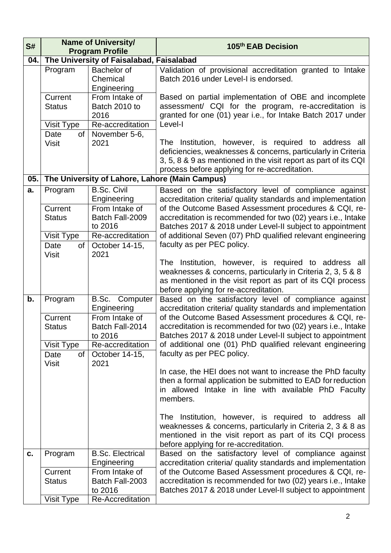| S#  | <b>Name of University/</b><br><b>Program Profile</b>                            |                                                                                                                                    | 105th EAB Decision                                                                                                                                                                                                                                                                                                                                                                                                                                                                                                                                                                                      |
|-----|---------------------------------------------------------------------------------|------------------------------------------------------------------------------------------------------------------------------------|---------------------------------------------------------------------------------------------------------------------------------------------------------------------------------------------------------------------------------------------------------------------------------------------------------------------------------------------------------------------------------------------------------------------------------------------------------------------------------------------------------------------------------------------------------------------------------------------------------|
| 04. |                                                                                 | The University of Faisalabad, Faisalabad                                                                                           |                                                                                                                                                                                                                                                                                                                                                                                                                                                                                                                                                                                                         |
|     |                                                                                 |                                                                                                                                    |                                                                                                                                                                                                                                                                                                                                                                                                                                                                                                                                                                                                         |
|     | Program                                                                         | <b>Bachelor</b> of<br>Chemical<br>Engineering                                                                                      | Validation of provisional accreditation granted to Intake<br>Batch 2016 under Level-I is endorsed.                                                                                                                                                                                                                                                                                                                                                                                                                                                                                                      |
|     | Current<br><b>Status</b>                                                        | From Intake of<br>Batch 2010 to<br>2016                                                                                            | Based on partial implementation of OBE and incomplete<br>assessment/ CQI for the program, re-accreditation is<br>granted for one (01) year i.e., for Intake Batch 2017 under                                                                                                                                                                                                                                                                                                                                                                                                                            |
|     | Visit Type                                                                      | Re-accreditation                                                                                                                   | Level-I                                                                                                                                                                                                                                                                                                                                                                                                                                                                                                                                                                                                 |
|     | Date<br>of<br><b>Visit</b>                                                      | November 5-6,<br>2021                                                                                                              | The Institution, however, is required to address all<br>deficiencies, weaknesses & concerns, particularly in Criteria<br>3, 5, 8 & 9 as mentioned in the visit report as part of its CQI<br>process before applying for re-accreditation.                                                                                                                                                                                                                                                                                                                                                               |
| 05. |                                                                                 |                                                                                                                                    | The University of Lahore, Lahore (Main Campus)                                                                                                                                                                                                                                                                                                                                                                                                                                                                                                                                                          |
| a.  | Program<br>Current<br><b>Status</b><br>Visit Type<br>Date<br>of<br><b>Visit</b> | <b>B.Sc. Civil</b><br>Engineering<br>From Intake of<br>Batch Fall-2009<br>to 2016<br>Re-accreditation<br>October 14-15,<br>2021    | Based on the satisfactory level of compliance against<br>accreditation criteria/ quality standards and implementation<br>of the Outcome Based Assessment procedures & CQI, re-<br>accreditation is recommended for two (02) years i.e., Intake<br>Batches 2017 & 2018 under Level-II subject to appointment<br>of additional Seven (07) PhD qualified relevant engineering<br>faculty as per PEC policy.                                                                                                                                                                                                |
|     |                                                                                 |                                                                                                                                    | The Institution, however, is required to address all<br>weaknesses & concerns, particularly in Criteria 2, 3, 5 & 8<br>as mentioned in the visit report as part of its CQI process<br>before applying for re-accreditation.                                                                                                                                                                                                                                                                                                                                                                             |
| b.  | Program<br>Current<br><b>Status</b><br>Visit Type<br>Date<br>of<br><b>Visit</b> | <b>B.Sc.</b> Computer<br>Engineering<br>From Intake of<br>Batch Fall-2014<br>to 2016<br>Re-accreditation<br>October 14-15,<br>2021 | Based on the satisfactory level of compliance against<br>accreditation criteria/ quality standards and implementation<br>of the Outcome Based Assessment procedures & CQI, re-<br>accreditation is recommended for two (02) years i.e., Intake<br>Batches 2017 & 2018 under Level-II subject to appointment<br>of additional one (01) PhD qualified relevant engineering<br>faculty as per PEC policy.<br>In case, the HEI does not want to increase the PhD faculty<br>then a formal application be submitted to EAD for reduction<br>in allowed Intake in line with available PhD Faculty<br>members. |
|     |                                                                                 |                                                                                                                                    | The Institution, however, is required to address all<br>weaknesses & concerns, particularly in Criteria 2, 3 & 8 as<br>mentioned in the visit report as part of its CQI process<br>before applying for re-accreditation.                                                                                                                                                                                                                                                                                                                                                                                |
| C.  | Program<br>Current<br><b>Status</b><br>Visit Type                               | <b>B.Sc. Electrical</b><br>Engineering<br>From Intake of<br>Batch Fall-2003<br>to 2016<br>Re-Accreditation                         | Based on the satisfactory level of compliance against<br>accreditation criteria/ quality standards and implementation<br>of the Outcome Based Assessment procedures & CQI, re-<br>accreditation is recommended for two (02) years i.e., Intake<br>Batches 2017 & 2018 under Level-II subject to appointment                                                                                                                                                                                                                                                                                             |
|     |                                                                                 |                                                                                                                                    |                                                                                                                                                                                                                                                                                                                                                                                                                                                                                                                                                                                                         |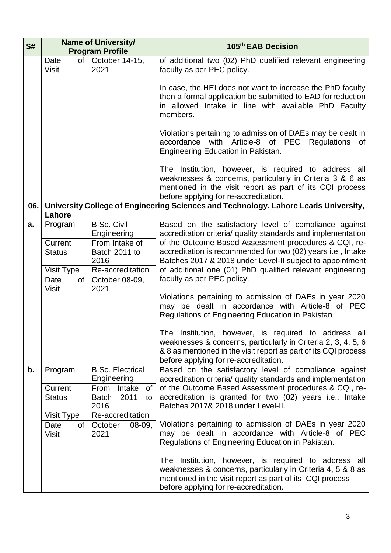| S#  | <b>Name of University/</b><br><b>Program Profile</b> |                                                                   | 105th EAB Decision                                                                                                                                                                                                                |
|-----|------------------------------------------------------|-------------------------------------------------------------------|-----------------------------------------------------------------------------------------------------------------------------------------------------------------------------------------------------------------------------------|
|     | Date<br>of<br><b>Visit</b>                           | October 14-15,<br>2021                                            | of additional two (02) PhD qualified relevant engineering<br>faculty as per PEC policy.                                                                                                                                           |
|     |                                                      |                                                                   | In case, the HEI does not want to increase the PhD faculty<br>then a formal application be submitted to EAD for reduction<br>in allowed Intake in line with available PhD Faculty<br>members.                                     |
|     |                                                      |                                                                   | Violations pertaining to admission of DAEs may be dealt in<br>accordance with Article-8 of PEC<br>Regulations of<br>Engineering Education in Pakistan.                                                                            |
|     |                                                      |                                                                   | The Institution, however, is required to address all<br>weaknesses & concerns, particularly in Criteria 3 & 6 as<br>mentioned in the visit report as part of its CQI process<br>before applying for re-accreditation.             |
| 06. | Lahore                                               |                                                                   | University College of Engineering Sciences and Technology. Lahore Leads University,                                                                                                                                               |
| a.  | Program                                              | <b>B.Sc. Civil</b><br>Engineering                                 | Based on the satisfactory level of compliance against<br>accreditation criteria/ quality standards and implementation                                                                                                             |
|     | Current<br><b>Status</b>                             | From Intake of<br>Batch 2011 to<br>2016                           | of the Outcome Based Assessment procedures & CQI, re-<br>accreditation is recommended for two (02) years i.e., Intake<br>Batches 2017 & 2018 under Level-II subject to appointment                                                |
|     | Visit Type<br>Date<br>of                             | Re-accreditation<br>October 08-09,                                | of additional one (01) PhD qualified relevant engineering<br>faculty as per PEC policy.                                                                                                                                           |
|     | <b>Visit</b>                                         | 2021                                                              | Violations pertaining to admission of DAEs in year 2020<br>be dealt in accordance with Article-8 of PEC<br>may<br>Regulations of Engineering Education in Pakistan                                                                |
|     |                                                      |                                                                   | The Institution, however, is required to address all<br>weaknesses & concerns, particularly in Criteria 2, 3, 4, 5, 6<br>& 8 as mentioned in the visit report as part of its CQI process<br>before applying for re-accreditation. |
| b.  | Program                                              | <b>B.Sc. Electrical</b><br>Engineering                            | Based on the satisfactory level of compliance against<br>accreditation criteria/ quality standards and implementation                                                                                                             |
|     | Current<br><b>Status</b>                             | From<br>Intake<br>$of \, 1$<br>2011<br><b>Batch</b><br>to<br>2016 | of the Outcome Based Assessment procedures & CQI, re-<br>accreditation is granted for two (02) years i.e., Intake<br>Batches 2017& 2018 under Level-II.                                                                           |
|     | Visit Type<br>Date<br>of<br><b>Visit</b>             | Re-accreditation<br>October<br>$08-09,$<br>2021                   | Violations pertaining to admission of DAEs in year 2020<br>may be dealt in accordance with Article-8 of PEC<br>Regulations of Engineering Education in Pakistan.                                                                  |
|     |                                                      |                                                                   | The Institution, however, is required to address all<br>weaknesses & concerns, particularly in Criteria 4, 5 & 8 as<br>mentioned in the visit report as part of its CQI process<br>before applying for re-accreditation.          |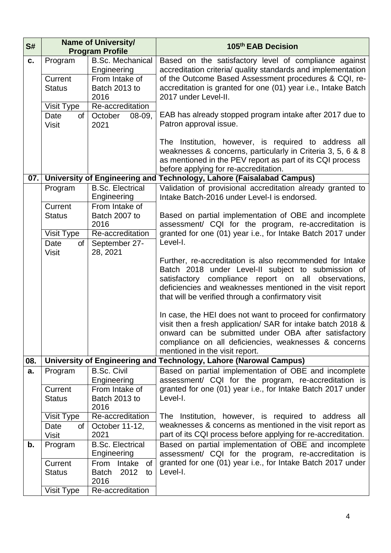| S#  | <b>Name of University/</b><br><b>Program Profile</b> |                                                    | 105th EAB Decision                                                                                               |
|-----|------------------------------------------------------|----------------------------------------------------|------------------------------------------------------------------------------------------------------------------|
| C.  | Program                                              | <b>B.Sc. Mechanical</b>                            | Based on the satisfactory level of compliance against                                                            |
|     |                                                      | Engineering                                        | accreditation criteria/ quality standards and implementation                                                     |
|     | Current                                              | From Intake of                                     | of the Outcome Based Assessment procedures & CQI, re-                                                            |
|     | <b>Status</b>                                        | Batch 2013 to                                      | accreditation is granted for one (01) year i.e., Intake Batch                                                    |
|     |                                                      | 2016                                               | 2017 under Level-II.                                                                                             |
|     | Visit Type                                           | Re-accreditation                                   |                                                                                                                  |
|     | of<br>Date                                           | October<br>$08-09,$                                | EAB has already stopped program intake after 2017 due to                                                         |
|     | <b>Visit</b>                                         | 2021                                               | Patron approval issue.                                                                                           |
|     |                                                      |                                                    | The Institution, however, is required to address all                                                             |
|     |                                                      |                                                    | weaknesses & concerns, particularly in Criteria 3, 5, 6 & 8                                                      |
|     |                                                      |                                                    | as mentioned in the PEV report as part of its CQI process                                                        |
|     |                                                      |                                                    | before applying for re-accreditation.                                                                            |
| 07. |                                                      |                                                    | University of Engineering and Technology, Lahore (Faisalabad Campus)                                             |
|     | Program                                              | <b>B.Sc. Electrical</b>                            | Validation of provisional accreditation already granted to                                                       |
|     |                                                      | Engineering                                        | Intake Batch-2016 under Level-I is endorsed.                                                                     |
|     | Current<br><b>Status</b>                             | From Intake of<br>Batch 2007 to                    | Based on partial implementation of OBE and incomplete                                                            |
|     |                                                      | 2016                                               | assessment/ CQI for the program, re-accreditation is                                                             |
|     | Visit Type                                           | Re-accreditation                                   | granted for one (01) year i.e., for Intake Batch 2017 under                                                      |
|     | Date<br>of                                           | September 27-                                      | Level-I.                                                                                                         |
|     | <b>Visit</b>                                         | 28, 2021                                           |                                                                                                                  |
|     |                                                      |                                                    | Further, re-accreditation is also recommended for Intake                                                         |
|     |                                                      |                                                    | Batch 2018 under Level-II subject to submission of                                                               |
|     |                                                      |                                                    | satisfactory compliance report on all observations,<br>deficiencies and weaknesses mentioned in the visit report |
|     |                                                      |                                                    | that will be verified through a confirmatory visit                                                               |
|     |                                                      |                                                    |                                                                                                                  |
|     |                                                      |                                                    | In case, the HEI does not want to proceed for confirmatory                                                       |
|     |                                                      |                                                    | visit then a fresh application/ SAR for intake batch 2018 &                                                      |
|     |                                                      |                                                    | onward can be submitted under OBA after satisfactory                                                             |
|     |                                                      |                                                    | compliance on all deficiencies, weaknesses & concerns                                                            |
|     |                                                      |                                                    | mentioned in the visit report.                                                                                   |
| 08. |                                                      |                                                    | University of Engineering and Technology, Lahore (Narowal Campus)                                                |
| a.  | Program                                              | <b>B.Sc. Civil</b><br>Engineering                  | Based on partial implementation of OBE and incomplete<br>assessment/ CQI for the program, re-accreditation is    |
|     | Current                                              | From Intake of                                     | granted for one (01) year i.e., for Intake Batch 2017 under                                                      |
|     | <b>Status</b>                                        | Batch 2013 to                                      | Level-I.                                                                                                         |
|     |                                                      | 2016                                               |                                                                                                                  |
|     | Visit Type                                           | Re-accreditation                                   | The Institution, however, is required to address all                                                             |
|     | of<br>Date                                           | October 11-12,                                     | weaknesses & concerns as mentioned in the visit report as                                                        |
|     | <b>Visit</b>                                         | 2021                                               | part of its CQI process before applying for re-accreditation.                                                    |
| b.  | Program                                              | <b>B.Sc. Electrical</b>                            | Based on partial implementation of OBE and incomplete                                                            |
|     |                                                      | Engineering                                        | assessment/ CQI for the program, re-accreditation is                                                             |
|     | Current<br><b>Status</b>                             | From<br>Intake<br>0f<br>2012<br><b>Batch</b><br>to | granted for one (01) year i.e., for Intake Batch 2017 under<br>Level-I.                                          |
|     |                                                      | 2016                                               |                                                                                                                  |
|     | Visit Type                                           | Re-accreditation                                   |                                                                                                                  |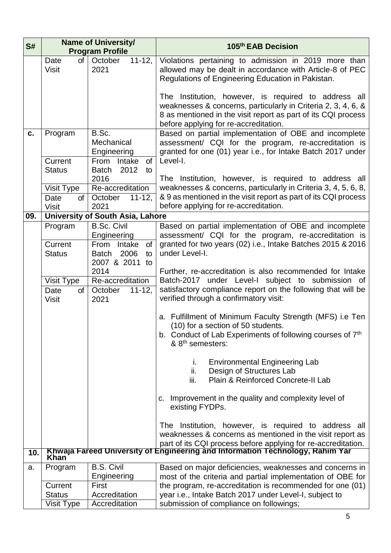| S#  | <b>Name of University/</b>         |                                                                                 | 105th EAB Decision                                                                                                                                                                                                              |
|-----|------------------------------------|---------------------------------------------------------------------------------|---------------------------------------------------------------------------------------------------------------------------------------------------------------------------------------------------------------------------------|
|     |                                    | <b>Program Profile</b>                                                          |                                                                                                                                                                                                                                 |
|     | <b>of</b><br>Date<br><b>Visit</b>  | October<br>$11-12,$<br>2021                                                     | Violations pertaining to admission in 2019 more than<br>allowed may be dealt in accordance with Article-8 of PEC<br>Regulations of Engineering Education in Pakistan.                                                           |
|     |                                    |                                                                                 | The Institution, however, is required to address all<br>weaknesses & concerns, particularly in Criteria 2, 3, 4, 6, &<br>8 as mentioned in the visit report as part of its CQI process<br>before applying for re-accreditation. |
| c.  | Program<br>Current                 | B.Sc.<br>Mechanical<br>Engineering<br>From Intake<br>of                         | Based on partial implementation of OBE and incomplete<br>assessment/ CQI for the program, re-accreditation is<br>granted for one (01) year i.e., for Intake Batch 2017 under<br>Level-I.                                        |
|     | <b>Status</b><br><b>Visit Type</b> | 2012<br><b>Batch</b><br>to<br>2016<br>Re-accreditation                          | The Institution, however, is required to address all<br>weaknesses & concerns, particularly in Criteria 3, 4, 5, 6, 8,                                                                                                          |
|     | Date<br>of<br><b>Visit</b>         | $11 - 12.$<br>October<br>2021                                                   | & 9 as mentioned in the visit report as part of its CQI process<br>before applying for re-accreditation.                                                                                                                        |
| 09. |                                    | <b>University of South Asia, Lahore</b>                                         |                                                                                                                                                                                                                                 |
|     | Program                            | <b>B.Sc. Civil</b><br>Engineering                                               | Based on partial implementation of OBE and incomplete<br>assessment/ CQI for the program, re-accreditation is                                                                                                                   |
|     | Current<br><b>Status</b>           | Intake<br>of<br>From<br>2006<br><b>Batch</b><br>to<br>2007 & 2011<br>to<br>2014 | granted for two years (02) i.e., Intake Batches 2015 & 2016<br>under Level-I.                                                                                                                                                   |
|     | Visit Type                         | Re-accreditation                                                                | Further, re-accreditation is also recommended for Intake<br>Batch-2017 under Level-I subject to submission of                                                                                                                   |
|     | Date<br>$\sigma$<br><b>Visit</b>   | October<br>$11 - 12$ ,<br>2021                                                  | satisfactory compliance report on the following that will be<br>verified through a confirmatory visit:                                                                                                                          |
|     |                                    |                                                                                 | a. Fulfillment of Minimum Faculty Strength (MFS) i.e Ten<br>(10) for a section of 50 students.<br>b. Conduct of Lab Experiments of following courses of 7 <sup>th</sup><br>& 8 <sup>th</sup> semesters:                         |
|     |                                    |                                                                                 | <b>Environmental Engineering Lab</b><br>i.<br>ii.<br>Design of Structures Lab<br>Plain & Reinforced Concrete-II Lab<br>iii.                                                                                                     |
|     |                                    |                                                                                 | c. Improvement in the quality and complexity level of<br>existing FYDPs.                                                                                                                                                        |
|     |                                    |                                                                                 | The Institution, however, is required to address all<br>weaknesses & concerns as mentioned in the visit report as<br>part of its CQI process before applying for re-accreditation.                                              |
| 10. | <b>Khan</b>                        |                                                                                 | Khwaja Fareed University of Engineering and Information Technology, Rahim Yar                                                                                                                                                   |
| a.  | Program                            | <b>B.S. Civil</b><br>Engineering                                                | Based on major deficiencies, weaknesses and concerns in<br>most of the criteria and partial implementation of OBE for                                                                                                           |
|     | Current                            | First                                                                           | the program, re-accreditation is recommended for one (01)                                                                                                                                                                       |
|     | <b>Status</b>                      | Accreditation                                                                   | year i.e., Intake Batch 2017 under Level-I, subject to                                                                                                                                                                          |
|     | Visit Type                         | Accreditation                                                                   | submission of compliance on followings;                                                                                                                                                                                         |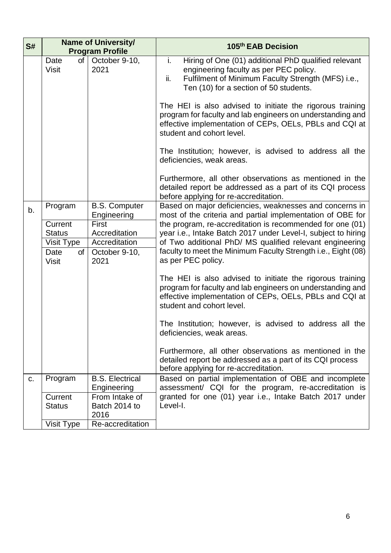| S# | <b>Name of University/</b><br><b>Program Profile</b> |                                       | 105th EAB Decision                                                                                                                                                                                              |
|----|------------------------------------------------------|---------------------------------------|-----------------------------------------------------------------------------------------------------------------------------------------------------------------------------------------------------------------|
|    | Date<br>of<br><b>Visit</b>                           | October 9-10,<br>2021                 | i.<br>Hiring of One (01) additional PhD qualified relevant<br>engineering faculty as per PEC policy.<br>ii.<br>Fulfilment of Minimum Faculty Strength (MFS) i.e.,<br>Ten (10) for a section of 50 students.     |
|    |                                                      |                                       | The HEI is also advised to initiate the rigorous training<br>program for faculty and lab engineers on understanding and<br>effective implementation of CEPs, OELs, PBLs and CQI at<br>student and cohort level. |
|    |                                                      |                                       | The Institution; however, is advised to address all the<br>deficiencies, weak areas.                                                                                                                            |
|    |                                                      |                                       | Furthermore, all other observations as mentioned in the<br>detailed report be addressed as a part of its CQI process<br>before applying for re-accreditation.                                                   |
| b. | Program                                              | <b>B.S. Computer</b><br>Engineering   | Based on major deficiencies, weaknesses and concerns in<br>most of the criteria and partial implementation of OBE for                                                                                           |
|    | Current                                              | <b>First</b>                          | the program, re-accreditation is recommended for one (01)                                                                                                                                                       |
|    | <b>Status</b>                                        | Accreditation<br>Accreditation        | year i.e., Intake Batch 2017 under Level-I, subject to hiring<br>of Two additional PhD/ MS qualified relevant engineering                                                                                       |
|    | Visit Type<br>of<br>Date<br><b>Visit</b>             | October 9-10,<br>2021                 | faculty to meet the Minimum Faculty Strength <i>i.e.</i> , Eight (08)<br>as per PEC policy.                                                                                                                     |
|    |                                                      |                                       | The HEI is also advised to initiate the rigorous training<br>program for faculty and lab engineers on understanding and<br>effective implementation of CEPs, OELs, PBLs and CQI at<br>student and cohort level. |
|    |                                                      |                                       | The Institution; however, is advised to address all the<br>deficiencies, weak areas.                                                                                                                            |
|    |                                                      |                                       | Furthermore, all other observations as mentioned in the<br>detailed report be addressed as a part of its CQI process<br>before applying for re-accreditation.                                                   |
| C. | Program                                              | <b>B.S. Electrical</b><br>Engineering | Based on partial implementation of OBE and incomplete<br>assessment/ CQI for the program, re-accreditation is                                                                                                   |
|    | Current                                              | From Intake of                        | granted for one (01) year i.e., Intake Batch 2017 under                                                                                                                                                         |
|    | <b>Status</b>                                        | Batch 2014 to<br>2016                 | Level-I.                                                                                                                                                                                                        |
|    | Visit Type                                           | Re-accreditation                      |                                                                                                                                                                                                                 |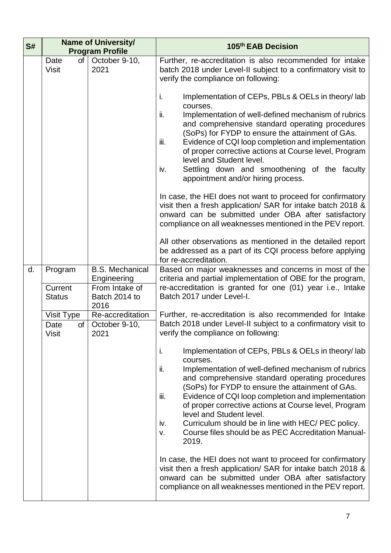| S# |                                          | <b>Name of University/</b><br><b>Program Profile</b>                             | 105th EAB Decision                                                                                                                                                                                                                                                                                                                                                                                                                                                                                                             |
|----|------------------------------------------|----------------------------------------------------------------------------------|--------------------------------------------------------------------------------------------------------------------------------------------------------------------------------------------------------------------------------------------------------------------------------------------------------------------------------------------------------------------------------------------------------------------------------------------------------------------------------------------------------------------------------|
|    | of<br>Date<br><b>Visit</b>               | October 9-10,<br>2021                                                            | Further, re-accreditation is also recommended for intake<br>batch 2018 under Level-II subject to a confirmatory visit to<br>verify the compliance on following:                                                                                                                                                                                                                                                                                                                                                                |
|    |                                          |                                                                                  | Implementation of CEPs, PBLs & OELs in theory/lab<br>i.<br>courses.<br>Implementation of well-defined mechanism of rubrics<br>ii.<br>and comprehensive standard operating procedures<br>(SoPs) for FYDP to ensure the attainment of GAs.<br>Evidence of CQI loop completion and implementation<br>iii.<br>of proper corrective actions at Course level, Program<br>level and Student level.<br>Settling down and smoothening of the faculty<br>iv.<br>appointment and/or hiring process.                                       |
|    |                                          |                                                                                  | In case, the HEI does not want to proceed for confirmatory<br>visit then a fresh application/ SAR for intake batch 2018 &<br>onward can be submitted under OBA after satisfactory<br>compliance on all weaknesses mentioned in the PEV report.                                                                                                                                                                                                                                                                                 |
|    |                                          |                                                                                  | All other observations as mentioned in the detailed report<br>be addressed as a part of its CQI process before applying<br>for re-accreditation.                                                                                                                                                                                                                                                                                                                                                                               |
| d. | Program<br>Current<br><b>Status</b>      | <b>B.S. Mechanical</b><br>Engineering<br>From Intake of<br>Batch 2014 to<br>2016 | Based on major weaknesses and concerns in most of the<br>criteria and partial implementation of OBE for the program,<br>re-accreditation is granted for one (01) year i.e., Intake<br>Batch 2017 under Level-I.                                                                                                                                                                                                                                                                                                                |
|    | Visit Type<br>Date<br>of<br><b>Visit</b> | Re-accreditation<br>October 9-10,<br>2021                                        | Further, re-accreditation is also recommended for Intake<br>Batch 2018 under Level-II subject to a confirmatory visit to<br>verify the compliance on following:                                                                                                                                                                                                                                                                                                                                                                |
|    |                                          |                                                                                  | Implementation of CEPs, PBLs & OELs in theory/lab<br>j.<br>courses.<br>Implementation of well-defined mechanism of rubrics<br>ii.<br>and comprehensive standard operating procedures<br>(SoPs) for FYDP to ensure the attainment of GAs.<br>Evidence of CQI loop completion and implementation<br>iii.<br>of proper corrective actions at Course level, Program<br>level and Student level.<br>Curriculum should be in line with HEC/ PEC policy.<br>iv.<br>Course files should be as PEC Accreditation Manual-<br>v.<br>2019. |
|    |                                          |                                                                                  | In case, the HEI does not want to proceed for confirmatory<br>visit then a fresh application/ SAR for intake batch 2018 &<br>onward can be submitted under OBA after satisfactory<br>compliance on all weaknesses mentioned in the PEV report.                                                                                                                                                                                                                                                                                 |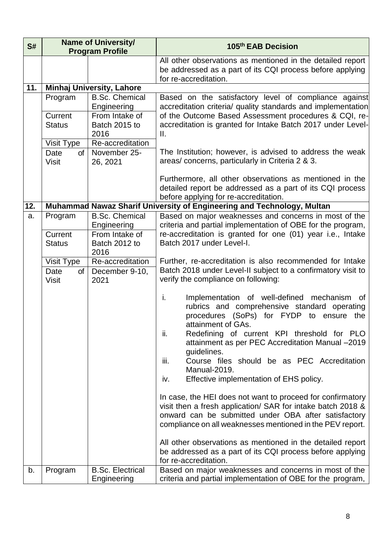| S#  | <b>Name of University/</b><br><b>Program Profile</b> |                                                                                 | 105 <sup>th</sup> EAB Decision                                                                                                                                                                                                                                                                                                                                                                                          |
|-----|------------------------------------------------------|---------------------------------------------------------------------------------|-------------------------------------------------------------------------------------------------------------------------------------------------------------------------------------------------------------------------------------------------------------------------------------------------------------------------------------------------------------------------------------------------------------------------|
|     |                                                      |                                                                                 | All other observations as mentioned in the detailed report<br>be addressed as a part of its CQI process before applying<br>for re-accreditation.                                                                                                                                                                                                                                                                        |
| 11. |                                                      | <b>Minhaj University, Lahore</b>                                                |                                                                                                                                                                                                                                                                                                                                                                                                                         |
|     | Program<br>Current<br><b>Status</b>                  | <b>B.Sc. Chemical</b><br>Engineering<br>From Intake of<br>Batch 2015 to<br>2016 | Based on the satisfactory level of compliance against<br>accreditation criteria/ quality standards and implementation<br>of the Outcome Based Assessment procedures & CQI, re-<br>accreditation is granted for Intake Batch 2017 under Level-<br>Ш.                                                                                                                                                                     |
|     | Visit Type<br>Date<br>of<br><b>Visit</b>             | Re-accreditation<br>November 25-<br>26, 2021                                    | The Institution; however, is advised to address the weak<br>areas/concerns, particularly in Criteria 2 & 3.<br>Furthermore, all other observations as mentioned in the                                                                                                                                                                                                                                                  |
|     |                                                      |                                                                                 | detailed report be addressed as a part of its CQI process<br>before applying for re-accreditation.                                                                                                                                                                                                                                                                                                                      |
| 12. |                                                      |                                                                                 | Muhammad Nawaz Sharif University of Engineering and Technology, Multan                                                                                                                                                                                                                                                                                                                                                  |
| a.  | Program<br>Current                                   | <b>B.Sc. Chemical</b><br>Engineering<br>From Intake of                          | Based on major weaknesses and concerns in most of the<br>criteria and partial implementation of OBE for the program,<br>re-accreditation is granted for one (01) year i.e., Intake                                                                                                                                                                                                                                      |
|     | <b>Status</b>                                        | Batch 2012 to<br>2016                                                           | Batch 2017 under Level-I.                                                                                                                                                                                                                                                                                                                                                                                               |
|     | Visit Type<br>Date<br>of<br><b>Visit</b>             | Re-accreditation<br>December 9-10,<br>2021                                      | Further, re-accreditation is also recommended for Intake<br>Batch 2018 under Level-II subject to a confirmatory visit to<br>verify the compliance on following:                                                                                                                                                                                                                                                         |
|     |                                                      |                                                                                 | i.<br>Implementation of well-defined mechanism<br>0f<br>rubrics and comprehensive standard operating<br>procedures (SoPs) for FYDP to ensure the<br>attainment of GAs.<br>Redefining of current KPI threshold for PLO<br>Ш.<br>attainment as per PEC Accreditation Manual -2019<br>guidelines.<br>iii.<br>Course files should be as PEC Accreditation<br>Manual-2019.<br>Effective implementation of EHS policy.<br>iv. |
|     |                                                      |                                                                                 | In case, the HEI does not want to proceed for confirmatory<br>visit then a fresh application/ SAR for intake batch 2018 &<br>onward can be submitted under OBA after satisfactory<br>compliance on all weaknesses mentioned in the PEV report.<br>All other observations as mentioned in the detailed report<br>be addressed as a part of its CQI process before applying<br>for re-accreditation.                      |
| b.  | Program                                              | <b>B.Sc. Electrical</b><br>Engineering                                          | Based on major weaknesses and concerns in most of the<br>criteria and partial implementation of OBE for the program,                                                                                                                                                                                                                                                                                                    |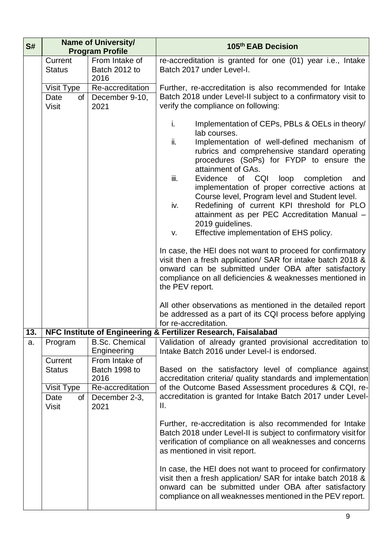| S#        |                                          | <b>Name of University/</b><br><b>Program Profile</b>                            | 105th EAB Decision                                                                                                                                                                                                                                                                                                                                                                                                                                                                                                                                                                                                                                                                                                                                                                                                                                                                                                                                                                    |
|-----------|------------------------------------------|---------------------------------------------------------------------------------|---------------------------------------------------------------------------------------------------------------------------------------------------------------------------------------------------------------------------------------------------------------------------------------------------------------------------------------------------------------------------------------------------------------------------------------------------------------------------------------------------------------------------------------------------------------------------------------------------------------------------------------------------------------------------------------------------------------------------------------------------------------------------------------------------------------------------------------------------------------------------------------------------------------------------------------------------------------------------------------|
|           | Current<br><b>Status</b>                 | From Intake of<br>Batch 2012 to<br>2016                                         | re-accreditation is granted for one (01) year i.e., Intake<br>Batch 2017 under Level-I.                                                                                                                                                                                                                                                                                                                                                                                                                                                                                                                                                                                                                                                                                                                                                                                                                                                                                               |
|           | Visit Type<br>of<br>Date<br><b>Visit</b> | Re-accreditation<br>December 9-10,<br>2021                                      | Further, re-accreditation is also recommended for Intake<br>Batch 2018 under Level-II subject to a confirmatory visit to<br>verify the compliance on following:                                                                                                                                                                                                                                                                                                                                                                                                                                                                                                                                                                                                                                                                                                                                                                                                                       |
|           |                                          |                                                                                 | i.<br>Implementation of CEPs, PBLs & OELs in theory/<br>lab courses.<br>ii.<br>Implementation of well-defined mechanism of<br>rubrics and comprehensive standard operating<br>procedures (SoPs) for FYDP to ensure the<br>attainment of GAs.<br>iii.<br>of CQI<br>Evidence<br>loop<br>completion<br>and<br>implementation of proper corrective actions at<br>Course level, Program level and Student level.<br>iv.<br>Redefining of current KPI threshold for PLO<br>attainment as per PEC Accreditation Manual -<br>2019 guidelines.<br>Effective implementation of EHS policy.<br>V.<br>In case, the HEI does not want to proceed for confirmatory<br>visit then a fresh application/ SAR for intake batch 2018 &<br>onward can be submitted under OBA after satisfactory<br>compliance on all deficiencies & weaknesses mentioned in<br>the PEV report.<br>All other observations as mentioned in the detailed report<br>be addressed as a part of its CQI process before applying |
|           |                                          |                                                                                 | for re-accreditation.<br>NFC Institute of Engineering & Fertilizer Research, Faisalabad                                                                                                                                                                                                                                                                                                                                                                                                                                                                                                                                                                                                                                                                                                                                                                                                                                                                                               |
| 13.<br>a. | Program<br>Current<br><b>Status</b>      | <b>B.Sc. Chemical</b><br>Engineering<br>From Intake of<br>Batch 1998 to<br>2016 | Validation of already granted provisional accreditation to<br>Intake Batch 2016 under Level-I is endorsed.<br>Based on the satisfactory level of compliance against<br>accreditation criteria/ quality standards and implementation                                                                                                                                                                                                                                                                                                                                                                                                                                                                                                                                                                                                                                                                                                                                                   |
|           | Visit Type<br>Date<br>of<br><b>Visit</b> | Re-accreditation<br>December 2-3,<br>2021                                       | of the Outcome Based Assessment procedures & CQI, re-<br>accreditation is granted for Intake Batch 2017 under Level-<br>Ш.                                                                                                                                                                                                                                                                                                                                                                                                                                                                                                                                                                                                                                                                                                                                                                                                                                                            |
|           |                                          |                                                                                 | Further, re-accreditation is also recommended for Intake<br>Batch 2018 under Level-II is subject to confirmatory visitfor<br>verification of compliance on all weaknesses and concerns<br>as mentioned in visit report.                                                                                                                                                                                                                                                                                                                                                                                                                                                                                                                                                                                                                                                                                                                                                               |
|           |                                          |                                                                                 | In case, the HEI does not want to proceed for confirmatory<br>visit then a fresh application/ SAR for intake batch 2018 &<br>onward can be submitted under OBA after satisfactory<br>compliance on all weaknesses mentioned in the PEV report.                                                                                                                                                                                                                                                                                                                                                                                                                                                                                                                                                                                                                                                                                                                                        |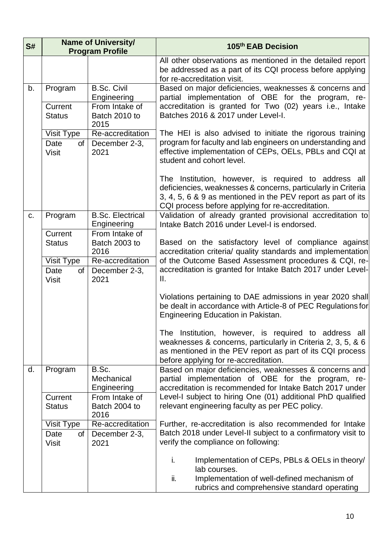| S# |                                   | <b>Name of University/</b><br><b>Program Profile</b> | 105th EAB Decision                                                                                                                                                                                                                         |
|----|-----------------------------------|------------------------------------------------------|--------------------------------------------------------------------------------------------------------------------------------------------------------------------------------------------------------------------------------------------|
|    |                                   |                                                      | All other observations as mentioned in the detailed report<br>be addressed as a part of its CQI process before applying<br>for re-accreditation visit.                                                                                     |
| b. | Program                           | <b>B.Sc. Civil</b><br>Engineering                    | Based on major deficiencies, weaknesses & concerns and<br>partial implementation of OBE for the program, re-                                                                                                                               |
|    | Current<br><b>Status</b>          | From Intake of<br>Batch 2010 to<br>2015              | accreditation is granted for Two (02) years i.e., Intake<br>Batches 2016 & 2017 under Level-I.                                                                                                                                             |
|    | <b>Visit Type</b>                 | Re-accreditation                                     | The HEI is also advised to initiate the rigorous training                                                                                                                                                                                  |
|    | Date<br><b>of</b><br><b>Visit</b> | December 2-3,<br>2021                                | program for faculty and lab engineers on understanding and<br>effective implementation of CEPs, OELs, PBLs and CQI at<br>student and cohort level.                                                                                         |
|    |                                   |                                                      | The Institution, however, is required to address all<br>deficiencies, weaknesses & concerns, particularly in Criteria<br>3, 4, 5, 6 & 9 as mentioned in the PEV report as part of its<br>CQI process before applying for re-accreditation. |
| C. | Program                           | <b>B.Sc. Electrical</b><br>Engineering               | Validation of already granted provisional accreditation to<br>Intake Batch 2016 under Level-I is endorsed.                                                                                                                                 |
|    | Current                           | From Intake of                                       |                                                                                                                                                                                                                                            |
|    | <b>Status</b>                     | Batch 2003 to<br>2016                                | Based on the satisfactory level of compliance against<br>accreditation criteria/ quality standards and implementation                                                                                                                      |
|    | Visit Type                        | Re-accreditation                                     | of the Outcome Based Assessment procedures & CQI, re-                                                                                                                                                                                      |
|    | Date<br>of<br><b>Visit</b>        | December 2-3,<br>2021                                | accreditation is granted for Intake Batch 2017 under Level-<br>Ш.                                                                                                                                                                          |
|    |                                   |                                                      | Violations pertaining to DAE admissions in year 2020 shall<br>be dealt in accordance with Article-8 of PEC Regulations for<br>Engineering Education in Pakistan.                                                                           |
|    |                                   |                                                      | The Institution, however, is required to address all<br>weaknesses & concerns, particularly in Criteria 2, 3, 5, & 6<br>as mentioned in the PEV report as part of its CQI process<br>before applying for re-accreditation.                 |
| d. | Program                           | B.Sc.<br>Mechanical<br>Engineering                   | Based on major deficiencies, weaknesses & concerns and<br>partial implementation of OBE for the program, re-<br>accreditation is recommended for Intake Batch 2017 under                                                                   |
|    | Current<br><b>Status</b>          | From Intake of<br>Batch 2004 to<br>2016              | Level-I subject to hiring One (01) additional PhD qualified<br>relevant engineering faculty as per PEC policy.                                                                                                                             |
|    | Visit Type                        | Re-accreditation                                     | Further, re-accreditation is also recommended for Intake                                                                                                                                                                                   |
|    | Date<br>of<br><b>Visit</b>        | December 2-3,<br>2021                                | Batch 2018 under Level-II subject to a confirmatory visit to<br>verify the compliance on following:                                                                                                                                        |
|    |                                   |                                                      | i.<br>Implementation of CEPs, PBLs & OELs in theory/<br>lab courses.<br>ii.<br>Implementation of well-defined mechanism of                                                                                                                 |
|    |                                   |                                                      | rubrics and comprehensive standard operating                                                                                                                                                                                               |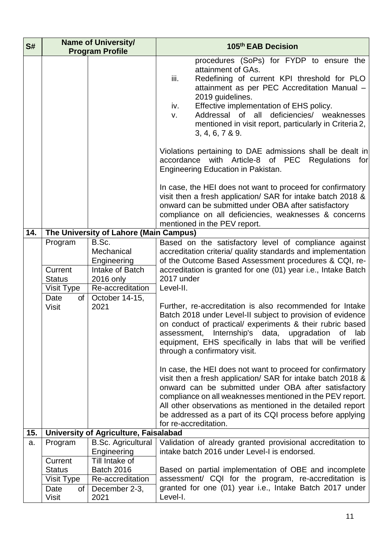| S#  | <b>Name of University/</b><br><b>Program Profile</b> |                                                                                        | 105 <sup>th</sup> EAB Decision                                                                                                                                                                                                                                                                                                                                                                     |
|-----|------------------------------------------------------|----------------------------------------------------------------------------------------|----------------------------------------------------------------------------------------------------------------------------------------------------------------------------------------------------------------------------------------------------------------------------------------------------------------------------------------------------------------------------------------------------|
|     |                                                      |                                                                                        | procedures (SoPs) for FYDP to ensure the<br>attainment of GAs.<br>iii.<br>Redefining of current KPI threshold for PLO<br>attainment as per PEC Accreditation Manual -<br>2019 guidelines.<br>Effective implementation of EHS policy.<br>iv.<br>Addressal of all<br>deficiencies/ weaknesses<br>V.<br>mentioned in visit report, particularly in Criteria 2,<br>3, 4, 6, 7 & 9.                     |
|     |                                                      |                                                                                        | Violations pertaining to DAE admissions shall be dealt in<br>accordance with Article-8 of PEC Regulations<br>for<br>Engineering Education in Pakistan.                                                                                                                                                                                                                                             |
|     |                                                      |                                                                                        | In case, the HEI does not want to proceed for confirmatory<br>visit then a fresh application/ SAR for intake batch 2018 &<br>onward can be submitted under OBA after satisfactory<br>compliance on all deficiencies, weaknesses & concerns<br>mentioned in the PEV report.                                                                                                                         |
| 14. |                                                      | The University of Lahore (Main Campus)                                                 |                                                                                                                                                                                                                                                                                                                                                                                                    |
|     | Program<br>Current<br><b>Status</b><br>Visit Type    | B.Sc.<br>Mechanical<br>Engineering<br>Intake of Batch<br>2016 only<br>Re-accreditation | Based on the satisfactory level of compliance against<br>accreditation criteria/ quality standards and implementation<br>of the Outcome Based Assessment procedures & CQI, re-<br>accreditation is granted for one (01) year i.e., Intake Batch<br>2017 under<br>Level-II.                                                                                                                         |
|     | Date<br>of<br><b>Visit</b>                           | October 14-15,<br>2021                                                                 | Further, re-accreditation is also recommended for Intake<br>Batch 2018 under Level-II subject to provision of evidence<br>on conduct of practical/ experiments & their rubric based<br>assessment,<br>Internship's data, upgradation of<br>lab<br>equipment, EHS specifically in labs that will be verified<br>through a confirmatory visit.                                                       |
|     |                                                      |                                                                                        | In case, the HEI does not want to proceed for confirmatory<br>visit then a fresh application/ SAR for intake batch 2018 &<br>onward can be submitted under OBA after satisfactory<br>compliance on all weaknesses mentioned in the PEV report.<br>All other observations as mentioned in the detailed report<br>be addressed as a part of its CQI process before applying<br>for re-accreditation. |
| 15. | University of Agriculture, Faisalabad                |                                                                                        |                                                                                                                                                                                                                                                                                                                                                                                                    |
| a.  | Program<br>Current                                   | <b>B.Sc. Agricultural</b><br>Engineering<br>Till Intake of                             | Validation of already granted provisional accreditation to<br>intake batch 2016 under Level-I is endorsed.                                                                                                                                                                                                                                                                                         |
|     | <b>Status</b><br>Visit Type                          | <b>Batch 2016</b><br>Re-accreditation                                                  | Based on partial implementation of OBE and incomplete<br>assessment/ CQI for the program, re-accreditation is                                                                                                                                                                                                                                                                                      |
|     | Date<br>of<br><b>Visit</b>                           | December 2-3,<br>2021                                                                  | granted for one (01) year i.e., Intake Batch 2017 under<br>Level-I.                                                                                                                                                                                                                                                                                                                                |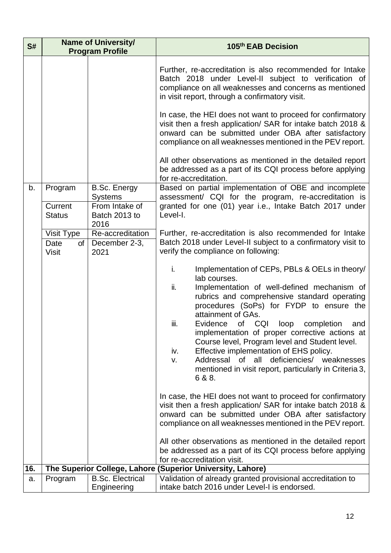| S#  | <b>Name of University/</b><br><b>Program Profile</b> |                                                                   | 105th EAB Decision                                                                                                                                                                                                                                                                                                                                                                                                                                                                                                                                                                                                                                                                                                                                                                                                         |
|-----|------------------------------------------------------|-------------------------------------------------------------------|----------------------------------------------------------------------------------------------------------------------------------------------------------------------------------------------------------------------------------------------------------------------------------------------------------------------------------------------------------------------------------------------------------------------------------------------------------------------------------------------------------------------------------------------------------------------------------------------------------------------------------------------------------------------------------------------------------------------------------------------------------------------------------------------------------------------------|
| b.  | Program<br>Current<br><b>Status</b>                  | B.Sc. Energy<br><b>Systems</b><br>From Intake of<br>Batch 2013 to | Further, re-accreditation is also recommended for Intake<br>Batch 2018 under Level-II subject to verification of<br>compliance on all weaknesses and concerns as mentioned<br>in visit report, through a confirmatory visit.<br>In case, the HEI does not want to proceed for confirmatory<br>visit then a fresh application/ SAR for intake batch 2018 &<br>onward can be submitted under OBA after satisfactory<br>compliance on all weaknesses mentioned in the PEV report.<br>All other observations as mentioned in the detailed report<br>be addressed as a part of its CQI process before applying<br>for re-accreditation.<br>Based on partial implementation of OBE and incomplete<br>assessment/ CQI for the program, re-accreditation is<br>granted for one (01) year i.e., Intake Batch 2017 under<br>Level-I. |
|     | Visit Type<br>Date<br>of<br><b>Visit</b>             | 2016<br>Re-accreditation<br>December 2-3,<br>2021                 | Further, re-accreditation is also recommended for Intake<br>Batch 2018 under Level-II subject to a confirmatory visit to<br>verify the compliance on following:<br>i.<br>Implementation of CEPs, PBLs & OELs in theory/<br>lab courses.<br>ii.<br>Implementation of well-defined mechanism of<br>rubrics and comprehensive standard operating<br>procedures (SoPs) for FYDP to ensure the<br>attainment of GAs.<br>iii.<br>Evidence of CQI loop<br>completion<br>and<br>implementation of proper corrective actions at<br>Course level, Program level and Student level.<br>iv.<br>Effective implementation of EHS policy.<br>Addressal of all deficiencies/ weaknesses<br>v.<br>mentioned in visit report, particularly in Criteria 3,<br>6 & 8.                                                                          |
|     |                                                      |                                                                   | In case, the HEI does not want to proceed for confirmatory<br>visit then a fresh application/ SAR for intake batch 2018 &<br>onward can be submitted under OBA after satisfactory<br>compliance on all weaknesses mentioned in the PEV report.<br>All other observations as mentioned in the detailed report<br>be addressed as a part of its CQI process before applying                                                                                                                                                                                                                                                                                                                                                                                                                                                  |
| 16. |                                                      |                                                                   | for re-accreditation visit.                                                                                                                                                                                                                                                                                                                                                                                                                                                                                                                                                                                                                                                                                                                                                                                                |
|     |                                                      |                                                                   | The Superior College, Lahore (Superior University, Lahore)                                                                                                                                                                                                                                                                                                                                                                                                                                                                                                                                                                                                                                                                                                                                                                 |
| a.  | Program                                              | <b>B.Sc. Electrical</b><br>Engineering                            | Validation of already granted provisional accreditation to<br>intake batch 2016 under Level-I is endorsed.                                                                                                                                                                                                                                                                                                                                                                                                                                                                                                                                                                                                                                                                                                                 |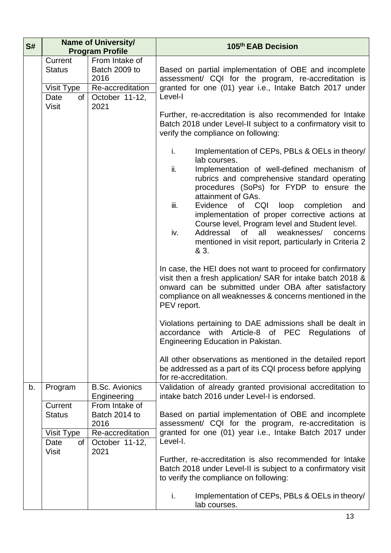| S# |                                                                      | <b>Name of University/</b><br><b>Program Profile</b>                                  | 105th EAB Decision                                                                                                                                                                                                                                                                                                                                                                                                                                                                                                                    |  |
|----|----------------------------------------------------------------------|---------------------------------------------------------------------------------------|---------------------------------------------------------------------------------------------------------------------------------------------------------------------------------------------------------------------------------------------------------------------------------------------------------------------------------------------------------------------------------------------------------------------------------------------------------------------------------------------------------------------------------------|--|
|    | Current<br><b>Status</b><br>Visit Type<br>Date<br>of                 | From Intake of<br>Batch 2009 to<br>2016<br>Re-accreditation<br>October 11-12,         | Based on partial implementation of OBE and incomplete<br>assessment/ CQI for the program, re-accreditation is<br>granted for one (01) year i.e., Intake Batch 2017 under<br>Level-I<br>Further, re-accreditation is also recommended for Intake<br>Batch 2018 under Level-II subject to a confirmatory visit to<br>verify the compliance on following:                                                                                                                                                                                |  |
|    | <b>Visit</b>                                                         | 2021                                                                                  |                                                                                                                                                                                                                                                                                                                                                                                                                                                                                                                                       |  |
|    |                                                                      |                                                                                       | i.<br>Implementation of CEPs, PBLs & OELs in theory/<br>lab courses.<br>ii.<br>Implementation of well-defined mechanism of<br>rubrics and comprehensive standard operating<br>procedures (SoPs) for FYDP to ensure the<br>attainment of GAs.<br>iii.<br>Evidence of CQI<br>loop<br>completion<br>and<br>implementation of proper corrective actions at<br>Course level, Program level and Student level.<br>iv.<br>of<br>all<br>weaknesses/<br>Addressal<br>concerns<br>mentioned in visit report, particularly in Criteria 2<br>& 3. |  |
|    |                                                                      |                                                                                       | In case, the HEI does not want to proceed for confirmatory<br>visit then a fresh application/ SAR for intake batch 2018 &<br>onward can be submitted under OBA after satisfactory<br>compliance on all weaknesses & concerns mentioned in the<br>PEV report.                                                                                                                                                                                                                                                                          |  |
|    |                                                                      |                                                                                       | Violations pertaining to DAE admissions shall be dealt in<br>accordance with Article-8 of PEC Regulations of<br>Engineering Education in Pakistan.                                                                                                                                                                                                                                                                                                                                                                                    |  |
|    |                                                                      |                                                                                       | All other observations as mentioned in the detailed report<br>be addressed as a part of its CQI process before applying<br>for re-accreditation.                                                                                                                                                                                                                                                                                                                                                                                      |  |
| b. | Program                                                              | <b>B.Sc. Avionics</b><br>Engineering                                                  | Validation of already granted provisional accreditation to<br>intake batch 2016 under Level-I is endorsed.                                                                                                                                                                                                                                                                                                                                                                                                                            |  |
|    | Current<br><b>Status</b><br>Visit Type<br>Date<br>of<br><b>Visit</b> | From Intake of<br>Batch 2014 to<br>2016<br>Re-accreditation<br>October 11-12,<br>2021 | Based on partial implementation of OBE and incomplete<br>assessment/ CQI for the program, re-accreditation is<br>granted for one (01) year i.e., Intake Batch 2017 under<br>Level-I.                                                                                                                                                                                                                                                                                                                                                  |  |
|    |                                                                      |                                                                                       | Further, re-accreditation is also recommended for Intake<br>Batch 2018 under Level-II is subject to a confirmatory visit<br>to verify the compliance on following:                                                                                                                                                                                                                                                                                                                                                                    |  |
|    |                                                                      |                                                                                       | i.<br>Implementation of CEPs, PBLs & OELs in theory/<br>lab courses.                                                                                                                                                                                                                                                                                                                                                                                                                                                                  |  |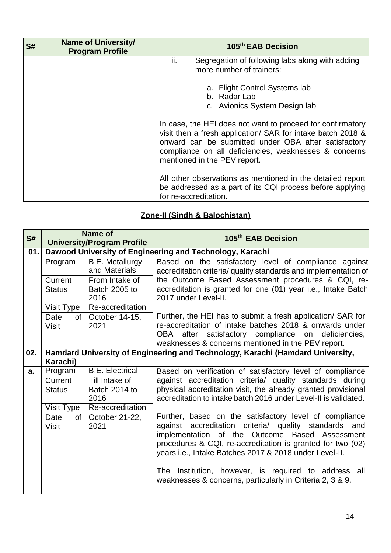| S# | <b>Name of University/</b><br><b>Program Profile</b> | 105 <sup>th</sup> EAB Decision                                                                                                                                                                                                                                             |
|----|------------------------------------------------------|----------------------------------------------------------------------------------------------------------------------------------------------------------------------------------------------------------------------------------------------------------------------------|
|    |                                                      | Segregation of following labs along with adding<br>ii.<br>more number of trainers:                                                                                                                                                                                         |
|    |                                                      | a. Flight Control Systems lab<br>b. Radar Lab<br>c. Avionics System Design lab                                                                                                                                                                                             |
|    |                                                      | In case, the HEI does not want to proceed for confirmatory<br>visit then a fresh application/ SAR for intake batch 2018 &<br>onward can be submitted under OBA after satisfactory<br>compliance on all deficiencies, weaknesses & concerns<br>mentioned in the PEV report. |
|    |                                                      | All other observations as mentioned in the detailed report<br>be addressed as a part of its CQI process before applying<br>for re-accreditation.                                                                                                                           |

# **Zone-II (Sindh & Balochistan)**

| S#  | Name of<br><b>University/Program Profile</b> |                                  | 105th EAB Decision                                                                                                                                                                                                                                                                                                                                                                                             |
|-----|----------------------------------------------|----------------------------------|----------------------------------------------------------------------------------------------------------------------------------------------------------------------------------------------------------------------------------------------------------------------------------------------------------------------------------------------------------------------------------------------------------------|
| 01. |                                              |                                  | Dawood University of Engineering and Technology, Karachi                                                                                                                                                                                                                                                                                                                                                       |
|     | Program                                      | B.E. Metallurgy<br>and Materials | Based on the satisfactory level of compliance against<br>accreditation criteria/ quality standards and implementation of                                                                                                                                                                                                                                                                                       |
|     | Current                                      | From Intake of                   | the Outcome Based Assessment procedures & CQI, re-                                                                                                                                                                                                                                                                                                                                                             |
|     | <b>Status</b>                                | Batch 2005 to<br>2016            | accreditation is granted for one (01) year i.e., Intake Batch<br>2017 under Level-II.                                                                                                                                                                                                                                                                                                                          |
|     | Visit Type                                   | Re-accreditation                 |                                                                                                                                                                                                                                                                                                                                                                                                                |
|     | Date<br>of<br><b>Visit</b>                   | October 14-15,<br>2021           | Further, the HEI has to submit a fresh application/ SAR for<br>re-accreditation of intake batches 2018 & onwards under<br>satisfactory compliance on deficiencies,<br>OBA after<br>weaknesses & concerns mentioned in the PEV report.                                                                                                                                                                          |
| 02. |                                              |                                  | Hamdard University of Engineering and Technology, Karachi (Hamdard University,                                                                                                                                                                                                                                                                                                                                 |
|     | Karachi)                                     |                                  |                                                                                                                                                                                                                                                                                                                                                                                                                |
| a.  | Program                                      | <b>B.E. Electrical</b>           | Based on verification of satisfactory level of compliance                                                                                                                                                                                                                                                                                                                                                      |
|     | Current                                      | Till Intake of                   | against accreditation criteria/ quality standards during                                                                                                                                                                                                                                                                                                                                                       |
|     | <b>Status</b>                                | Batch 2014 to<br>2016            | physical accreditation visit, the already granted provisional<br>accreditation to intake batch 2016 under Level-II is validated.                                                                                                                                                                                                                                                                               |
|     | Visit Type                                   | Re-accreditation                 |                                                                                                                                                                                                                                                                                                                                                                                                                |
|     | Date<br>of<br><b>Visit</b>                   | October 21-22,<br>2021           | Further, based on the satisfactory level of compliance<br>against accreditation criteria/ quality standards and<br>implementation of the Outcome Based Assessment<br>procedures & CQI, re-accreditation is granted for two (02)<br>years i.e., Intake Batches 2017 & 2018 under Level-II.<br>The Institution, however, is required to address all<br>weaknesses & concerns, particularly in Criteria 2, 3 & 9. |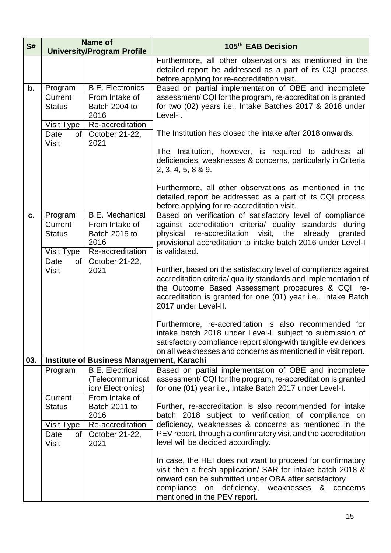| S#  | Name of<br><b>University/Program Profile</b> |                                                               | 105 <sup>th</sup> EAB Decision                                                                                                                                                                                                                                                   |
|-----|----------------------------------------------|---------------------------------------------------------------|----------------------------------------------------------------------------------------------------------------------------------------------------------------------------------------------------------------------------------------------------------------------------------|
|     |                                              |                                                               | Furthermore, all other observations as mentioned in the<br>detailed report be addressed as a part of its CQI process<br>before applying for re-accreditation visit.                                                                                                              |
| b.  | Program                                      | <b>B.E. Electronics</b>                                       | Based on partial implementation of OBE and incomplete                                                                                                                                                                                                                            |
|     | Current<br><b>Status</b>                     | From Intake of<br>Batch 2004 to<br>2016                       | assessment/ CQI for the program, re-accreditation is granted<br>for two (02) years i.e., Intake Batches 2017 & 2018 under<br>Level-I.                                                                                                                                            |
|     | Visit Type                                   | Re-accreditation                                              |                                                                                                                                                                                                                                                                                  |
|     | Date<br><b>Visit</b>                         | of $\vert$ October 21-22,<br>2021                             | The Institution has closed the intake after 2018 onwards.                                                                                                                                                                                                                        |
|     |                                              |                                                               | The Institution, however, is required to address all<br>deficiencies, weaknesses & concerns, particularly in Criteria<br>2, 3, 4, 5, 8 & 9.                                                                                                                                      |
|     |                                              |                                                               | Furthermore, all other observations as mentioned in the<br>detailed report be addressed as a part of its CQI process<br>before applying for re-accreditation visit.                                                                                                              |
| c.  | Program                                      | <b>B.E. Mechanical</b>                                        | Based on verification of satisfactory level of compliance                                                                                                                                                                                                                        |
|     | Current                                      | From Intake of                                                | against accreditation criteria/ quality standards during                                                                                                                                                                                                                         |
|     | <b>Status</b>                                | Batch 2015 to<br>2016                                         | the<br>re-accreditation<br>visit,<br>already<br>physical<br>granted<br>provisional accreditation to intake batch 2016 under Level-I                                                                                                                                              |
|     | Visit Type                                   | Re-accreditation                                              | is validated.                                                                                                                                                                                                                                                                    |
|     | Date<br>of                                   | October 21-22,                                                |                                                                                                                                                                                                                                                                                  |
|     | <b>Visit</b>                                 | 2021                                                          | Further, based on the satisfactory level of compliance against<br>accreditation criteria/ quality standards and implementation of<br>the Outcome Based Assessment procedures & CQI, re-<br>accreditation is granted for one (01) year i.e., Intake Batch<br>2017 under Level-II. |
|     |                                              |                                                               | Furthermore, re-accreditation is also recommended for<br>intake batch 2018 under Level-II subject to submission of<br>satisfactory compliance report along-with tangible evidences<br>on all weaknesses and concerns as mentioned in visit report.                               |
| 03. |                                              | <b>Institute of Business Management, Karachi</b>              |                                                                                                                                                                                                                                                                                  |
|     | Program                                      | <b>B.E. Electrical</b><br>(Telecommunicat<br>ion/Electronics) | Based on partial implementation of OBE and incomplete<br>assessment/CQI for the program, re-accreditation is granted<br>for one (01) year i.e., Intake Batch 2017 under Level-I.                                                                                                 |
|     | Current                                      | From Intake of                                                |                                                                                                                                                                                                                                                                                  |
|     | <b>Status</b>                                | Batch 2011 to<br>2016                                         | Further, re-accreditation is also recommended for intake<br>batch 2018 subject to verification of compliance on                                                                                                                                                                  |
|     | Visit Type                                   | Re-accreditation                                              | deficiency, weaknesses & concerns as mentioned in the                                                                                                                                                                                                                            |
|     | Date<br>of<br><b>Visit</b>                   | October 21-22,<br>2021                                        | PEV report, through a confirmatory visit and the accreditation<br>level will be decided accordingly.                                                                                                                                                                             |
|     |                                              |                                                               | In case, the HEI does not want to proceed for confirmatory<br>visit then a fresh application/ SAR for intake batch 2018 &<br>onward can be submitted under OBA after satisfactory<br>compliance on deficiency, weaknesses<br>concerns<br>&<br>mentioned in the PEV report.       |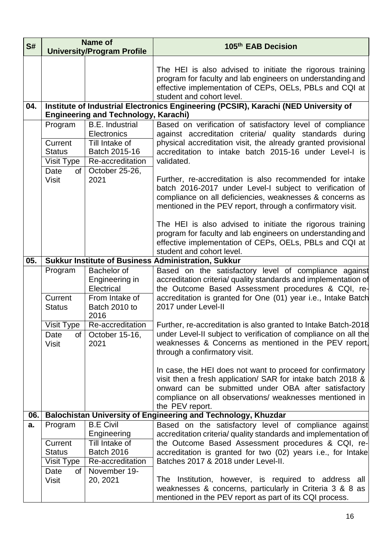| S#  | Name of                                                                         |                                                                                                                        | 105th EAB Decision                                                                                                                                                                                                                                                                                                                                                                                                                                                                                                                                                                                                                                                                                     |
|-----|---------------------------------------------------------------------------------|------------------------------------------------------------------------------------------------------------------------|--------------------------------------------------------------------------------------------------------------------------------------------------------------------------------------------------------------------------------------------------------------------------------------------------------------------------------------------------------------------------------------------------------------------------------------------------------------------------------------------------------------------------------------------------------------------------------------------------------------------------------------------------------------------------------------------------------|
|     |                                                                                 | <b>University/Program Profile</b>                                                                                      |                                                                                                                                                                                                                                                                                                                                                                                                                                                                                                                                                                                                                                                                                                        |
|     |                                                                                 |                                                                                                                        | The HEI is also advised to initiate the rigorous training<br>program for faculty and lab engineers on understanding and<br>effective implementation of CEPs, OELs, PBLs and CQI at<br>student and cohort level.                                                                                                                                                                                                                                                                                                                                                                                                                                                                                        |
| 04. |                                                                                 | <b>Engineering and Technology, Karachi)</b>                                                                            | Institute of Industrial Electronics Engineering (PCSIR), Karachi (NED University of                                                                                                                                                                                                                                                                                                                                                                                                                                                                                                                                                                                                                    |
|     | Program<br>Current<br><b>Status</b><br>Visit Type<br>Date<br>of<br><b>Visit</b> | <b>B.E.</b> Industrial<br>Electronics<br>Till Intake of<br>Batch 2015-16<br>Re-accreditation<br>October 25-26,<br>2021 | Based on verification of satisfactory level of compliance<br>against accreditation criteria/ quality standards during<br>physical accreditation visit, the already granted provisional<br>accreditation to intake batch 2015-16 under Level-I is<br>validated.<br>Further, re-accreditation is also recommended for intake<br>batch 2016-2017 under Level-I subject to verification of<br>compliance on all deficiencies, weaknesses & concerns as<br>mentioned in the PEV report, through a confirmatory visit.<br>The HEI is also advised to initiate the rigorous training<br>program for faculty and lab engineers on understanding and<br>effective implementation of CEPs, OELs, PBLs and CQI at |
|     |                                                                                 |                                                                                                                        | student and cohort level.                                                                                                                                                                                                                                                                                                                                                                                                                                                                                                                                                                                                                                                                              |
| 05. | <b>Sukkur Institute of Business Administration, Sukkur</b>                      |                                                                                                                        |                                                                                                                                                                                                                                                                                                                                                                                                                                                                                                                                                                                                                                                                                                        |
|     | Program<br>Current<br><b>Status</b><br>Visit Type                               | Bachelor of<br>Engineering in<br>Electrical<br>From Intake of<br>Batch 2010 to<br>2016<br>Re-accreditation             | Based on the satisfactory level of compliance against<br>accreditation criteria/ quality standards and implementation of<br>the Outcome Based Assessment procedures & CQI, re-<br>accreditation is granted for One (01) year i.e., Intake Batch<br>2017 under Level-II<br>Further, re-accreditation is also granted to Intake Batch-2018                                                                                                                                                                                                                                                                                                                                                               |
|     | Date<br><b>Visit</b>                                                            | of $\vert$ October 15-16,<br>2021                                                                                      | under Level-II subject to verification of compliance on all the<br>weaknesses & Concerns as mentioned in the PEV report,<br>through a confirmatory visit.<br>In case, the HEI does not want to proceed for confirmatory<br>visit then a fresh application/ SAR for intake batch 2018 &<br>onward can be submitted under OBA after satisfactory<br>compliance on all observations/ weaknesses mentioned in<br>the PEV report.                                                                                                                                                                                                                                                                           |
| 06. |                                                                                 |                                                                                                                        | Balochistan University of Engineering and Technology, Khuzdar                                                                                                                                                                                                                                                                                                                                                                                                                                                                                                                                                                                                                                          |
| a.  | Program                                                                         | <b>B.E Civil</b><br>Engineering                                                                                        | Based on the satisfactory level of compliance against<br>accreditation criteria/ quality standards and implementation of                                                                                                                                                                                                                                                                                                                                                                                                                                                                                                                                                                               |
|     | Current<br><b>Status</b><br>Visit Type<br>Date<br>οf                            | Till Intake of<br><b>Batch 2016</b><br>Re-accreditation<br>November 19-                                                | the Outcome Based Assessment procedures & CQI, re-<br>accreditation is granted for two (02) years i.e., for Intake<br>Batches 2017 & 2018 under Level-II.                                                                                                                                                                                                                                                                                                                                                                                                                                                                                                                                              |
|     | <b>Visit</b>                                                                    | 20, 2021                                                                                                               | The Institution, however, is required to address all<br>weaknesses & concerns, particularly in Criteria 3 & 8 as<br>mentioned in the PEV report as part of its CQI process.                                                                                                                                                                                                                                                                                                                                                                                                                                                                                                                            |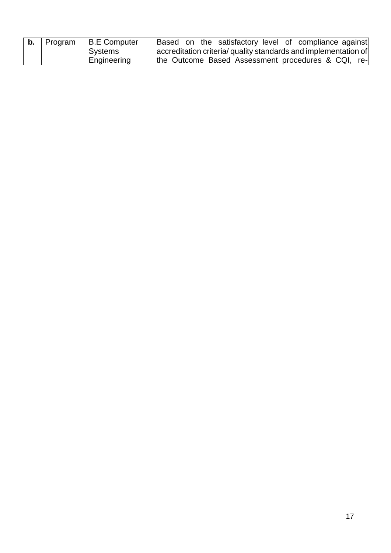| <b>b.</b>   Program | <b>B.E</b> Computer | Based on the satisfactory level of compliance against           |
|---------------------|---------------------|-----------------------------------------------------------------|
|                     | Systems             | accreditation criteria/ quality standards and implementation of |
|                     | Engineering         | the Outcome Based Assessment procedures & CQI, re-              |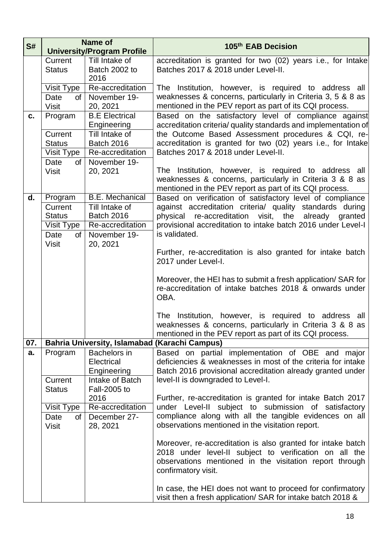| S#  | <b>Name of</b>           |                                     | 105th EAB Decision                                                                                                         |  |
|-----|--------------------------|-------------------------------------|----------------------------------------------------------------------------------------------------------------------------|--|
|     |                          | <b>University/Program Profile</b>   |                                                                                                                            |  |
|     | Current                  | Till Intake of                      | accreditation is granted for two (02) years i.e., for Intake                                                               |  |
|     | <b>Status</b>            | Batch 2002 to                       | Batches 2017 & 2018 under Level-II.                                                                                        |  |
|     | Visit Type               | 2016<br>Re-accreditation            | The Institution, however, is required to address all                                                                       |  |
|     | Date<br>of               | November 19-                        | weaknesses & concerns, particularly in Criteria 3, 5 & 8 as                                                                |  |
|     | <b>Visit</b>             | 20, 2021                            | mentioned in the PEV report as part of its CQI process.                                                                    |  |
| c.  | Program                  | <b>B.E Electrical</b>               | Based on the satisfactory level of compliance against                                                                      |  |
|     | Current                  | Engineering<br>Till Intake of       | accreditation criteria/ quality standards and implementation of                                                            |  |
|     | <b>Status</b>            | <b>Batch 2016</b>                   | the Outcome Based Assessment procedures & CQI, re-<br>accreditation is granted for two (02) years i.e., for Intake         |  |
|     | Visit Type               | Re-accreditation                    | Batches 2017 & 2018 under Level-II.                                                                                        |  |
|     | Date<br>οf               | November 19-                        |                                                                                                                            |  |
|     | <b>Visit</b>             | 20, 2021                            | The Institution, however, is required to address all                                                                       |  |
|     |                          |                                     | weaknesses & concerns, particularly in Criteria 3 & 8 as                                                                   |  |
|     |                          |                                     | mentioned in the PEV report as part of its CQI process.                                                                    |  |
| d.  | Program                  | <b>B.E. Mechanical</b>              | Based on verification of satisfactory level of compliance                                                                  |  |
|     | Current<br><b>Status</b> | Till Intake of<br><b>Batch 2016</b> | against accreditation criteria/ quality standards during<br>physical re-accreditation visit, the already granted           |  |
|     | Visit Type               | Re-accreditation                    | provisional accreditation to intake batch 2016 under Level-I                                                               |  |
|     | Date<br>0f               | November 19-                        | is validated.                                                                                                              |  |
|     | <b>Visit</b>             | 20, 2021                            |                                                                                                                            |  |
|     |                          |                                     | Further, re-accreditation is also granted for intake batch                                                                 |  |
|     |                          |                                     | 2017 under Level-I.                                                                                                        |  |
|     |                          |                                     | Moreover, the HEI has to submit a fresh application/ SAR for                                                               |  |
|     |                          |                                     | re-accreditation of intake batches 2018 & onwards under                                                                    |  |
|     |                          |                                     | OBA.                                                                                                                       |  |
|     |                          |                                     | The Institution, however, is required to address all                                                                       |  |
|     |                          |                                     | weaknesses & concerns, particularly in Criteria 3 & 8 as                                                                   |  |
|     |                          |                                     | mentioned in the PEV report as part of its CQI process.                                                                    |  |
| 07. |                          |                                     | <b>Bahria University, Islamabad (Karachi Campus)</b>                                                                       |  |
| a.  | Program                  | <b>Bachelors</b> in                 | Based on partial implementation of OBE and major                                                                           |  |
|     |                          | Electrical                          | deficiencies & weaknesses in most of the criteria for intake<br>Batch 2016 provisional accreditation already granted under |  |
|     | Current                  | Engineering<br>Intake of Batch      | level-II is downgraded to Level-I.                                                                                         |  |
|     | <b>Status</b>            | <b>Fall-2005 to</b>                 |                                                                                                                            |  |
|     |                          | 2016                                | Further, re-accreditation is granted for intake Batch 2017                                                                 |  |
|     | Visit Type               | Re-accreditation                    | under Level-II subject to submission of satisfactory                                                                       |  |
|     | Date<br>of               | December 27-                        | compliance along with all the tangible evidences on all                                                                    |  |
|     | <b>Visit</b>             | 28, 2021                            | observations mentioned in the visitation report.                                                                           |  |
|     |                          |                                     | Moreover, re-accreditation is also granted for intake batch                                                                |  |
|     |                          |                                     | 2018 under level-II subject to verification on all the                                                                     |  |
|     |                          |                                     | observations mentioned in the visitation report through                                                                    |  |
|     |                          |                                     | confirmatory visit.                                                                                                        |  |
|     |                          |                                     | In case, the HEI does not want to proceed for confirmatory                                                                 |  |
|     |                          |                                     | visit then a fresh application/ SAR for intake batch 2018 &                                                                |  |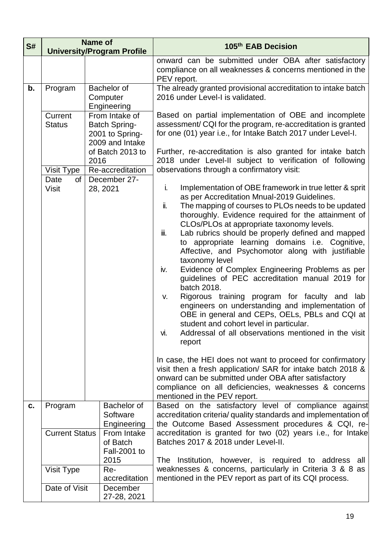| S# |                                          | <b>Name of</b><br><b>University/Program Profile</b>                                              | 105th EAB Decision                                                                                                                                                                                                                                                                                                                                                                                                                                                                                                                                                                                                                                                                                                                                                                                                                                                                                                                                                                                                                                                                                                                                                |  |
|----|------------------------------------------|--------------------------------------------------------------------------------------------------|-------------------------------------------------------------------------------------------------------------------------------------------------------------------------------------------------------------------------------------------------------------------------------------------------------------------------------------------------------------------------------------------------------------------------------------------------------------------------------------------------------------------------------------------------------------------------------------------------------------------------------------------------------------------------------------------------------------------------------------------------------------------------------------------------------------------------------------------------------------------------------------------------------------------------------------------------------------------------------------------------------------------------------------------------------------------------------------------------------------------------------------------------------------------|--|
|    |                                          |                                                                                                  | onward can be submitted under OBA after satisfactory<br>compliance on all weaknesses & concerns mentioned in the<br>PEV report.                                                                                                                                                                                                                                                                                                                                                                                                                                                                                                                                                                                                                                                                                                                                                                                                                                                                                                                                                                                                                                   |  |
| b. | Program                                  | Bachelor of<br>Computer<br>Engineering                                                           | The already granted provisional accreditation to intake batch<br>2016 under Level-I is validated.                                                                                                                                                                                                                                                                                                                                                                                                                                                                                                                                                                                                                                                                                                                                                                                                                                                                                                                                                                                                                                                                 |  |
|    | Current<br><b>Status</b>                 | From Intake of<br><b>Batch Spring-</b><br>2001 to Spring-<br>2009 and Intake<br>of Batch 2013 to | Based on partial implementation of OBE and incomplete<br>assessment/CQI for the program, re-accreditation is granted<br>for one (01) year i.e., for Intake Batch 2017 under Level-I.<br>Further, re-accreditation is also granted for intake batch                                                                                                                                                                                                                                                                                                                                                                                                                                                                                                                                                                                                                                                                                                                                                                                                                                                                                                                |  |
|    | Visit Type                               | 2016<br>Re-accreditation                                                                         | 2018 under Level-II subject to verification of following<br>observations through a confirmatory visit:                                                                                                                                                                                                                                                                                                                                                                                                                                                                                                                                                                                                                                                                                                                                                                                                                                                                                                                                                                                                                                                            |  |
|    | Date<br>οf<br><b>Visit</b>               | December 27-<br>28, 2021                                                                         | Implementation of OBE framework in true letter & sprit<br>i.<br>as per Accreditation Mnual-2019 Guidelines.<br>The mapping of courses to PLOs needs to be updated<br>ii.<br>thoroughly. Evidence required for the attainment of<br>CLOs/PLOs at appropriate taxonomy levels.<br>Lab rubrics should be properly defined and mapped<br>iii.<br>to appropriate learning domains i.e. Cognitive,<br>Affective, and Psychomotor along with justifiable<br>taxonomy level<br>Evidence of Complex Engineering Problems as per<br>iv.<br>guidelines of PEC accreditation manual 2019 for<br>batch 2018.<br>Rigorous training program for faculty and<br>lab<br>V.<br>engineers on understanding and implementation of<br>OBE in general and CEPs, OELs, PBLs and CQI at<br>student and cohort level in particular.<br>Addressal of all observations mentioned in the visit<br>VI.<br>report<br>In case, the HEI does not want to proceed for confirmatory<br>visit then a fresh application/ SAR for intake batch 2018 &<br>onward can be submitted under OBA after satisfactory<br>compliance on all deficiencies, weaknesses & concerns<br>mentioned in the PEV report. |  |
| C. | Program                                  | Bachelor of<br>Software<br>Engineering                                                           | Based on the satisfactory level of compliance against<br>accreditation criteria/ quality standards and implementation of<br>the Outcome Based Assessment procedures & CQI, re-                                                                                                                                                                                                                                                                                                                                                                                                                                                                                                                                                                                                                                                                                                                                                                                                                                                                                                                                                                                    |  |
|    | <b>Current Status</b>                    | From Intake<br>of Batch<br>Fall-2001 to                                                          | accreditation is granted for two (02) years i.e., for Intake<br>Batches 2017 & 2018 under Level-II.                                                                                                                                                                                                                                                                                                                                                                                                                                                                                                                                                                                                                                                                                                                                                                                                                                                                                                                                                                                                                                                               |  |
|    | Visit Type                               | 2015<br>Re-<br>accreditation                                                                     | The Institution, however, is required to address all<br>weaknesses & concerns, particularly in Criteria 3 & 8 as<br>mentioned in the PEV report as part of its CQI process.                                                                                                                                                                                                                                                                                                                                                                                                                                                                                                                                                                                                                                                                                                                                                                                                                                                                                                                                                                                       |  |
|    | Date of Visit<br>December<br>27-28, 2021 |                                                                                                  |                                                                                                                                                                                                                                                                                                                                                                                                                                                                                                                                                                                                                                                                                                                                                                                                                                                                                                                                                                                                                                                                                                                                                                   |  |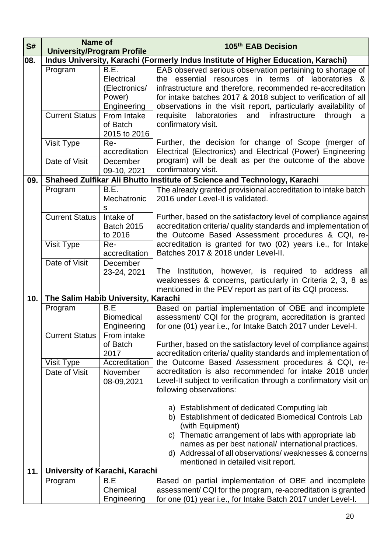| S#  | Name of<br><b>University/Program Profile</b> |                                                        | 105th EAB Decision                                                                                                                                                                                                                                                                                                                                  |
|-----|----------------------------------------------|--------------------------------------------------------|-----------------------------------------------------------------------------------------------------------------------------------------------------------------------------------------------------------------------------------------------------------------------------------------------------------------------------------------------------|
| 08. |                                              |                                                        | Indus University, Karachi (Formerly Indus Institute of Higher Education, Karachi)                                                                                                                                                                                                                                                                   |
|     | Program                                      | B.E.<br>Electrical<br>(Electronics/<br>Power)          | EAB observed serious observation pertaining to shortage of<br>the essential resources in terms of laboratories &<br>infrastructure and therefore, recommended re-accreditation<br>for intake batches 2017 & 2018 subject to verification of all                                                                                                     |
|     | <b>Current Status</b>                        | Engineering<br>From Intake<br>of Batch                 | observations in the visit report, particularly availability of<br>laboratories and<br>infrastructure<br>requisite<br>through<br>a<br>confirmatory visit.                                                                                                                                                                                            |
|     | Visit Type                                   | 2015 to 2016<br>Re-<br>accreditation                   | Further, the decision for change of Scope (merger of<br>Electrical (Electronics) and Electrical (Power) Engineering                                                                                                                                                                                                                                 |
|     | Date of Visit                                | December<br>09-10, 2021                                | program) will be dealt as per the outcome of the above<br>confirmatory visit.                                                                                                                                                                                                                                                                       |
| 09. |                                              |                                                        | Shaheed Zulfikar Ali Bhutto Institute of Science and Technology, Karachi                                                                                                                                                                                                                                                                            |
|     | Program                                      | B.E.<br>Mechatronic<br>S                               | The already granted provisional accreditation to intake batch<br>2016 under Level-II is validated.                                                                                                                                                                                                                                                  |
|     | <b>Current Status</b>                        | Intake of<br><b>Batch 2015</b><br>to 2016              | Further, based on the satisfactory level of compliance against<br>accreditation criteria/ quality standards and implementation of<br>the Outcome Based Assessment procedures & CQI, re-                                                                                                                                                             |
|     | Visit Type                                   | Re-<br>accreditation                                   | accreditation is granted for two (02) years i.e., for Intake<br>Batches 2017 & 2018 under Level-II.                                                                                                                                                                                                                                                 |
|     | Date of Visit                                | December<br>23-24, 2021                                | The Institution, however, is required to address<br>all<br>weaknesses & concerns, particularly in Criteria 2, 3, 8 as<br>mentioned in the PEV report as part of its CQI process.                                                                                                                                                                    |
| 10. | The Salim Habib University, Karachi          |                                                        |                                                                                                                                                                                                                                                                                                                                                     |
|     | Program<br><b>Current Status</b>             | B.E<br><b>Biomedical</b><br>Engineering<br>From intake | Based on partial implementation of OBE and incomplete<br>assessment/ CQI for the program, accreditation is granted<br>for one (01) year i.e., for Intake Batch 2017 under Level-I.                                                                                                                                                                  |
|     |                                              | of Batch<br>2017<br>Accreditation                      | Further, based on the satisfactory level of compliance against<br>accreditation criteria/ quality standards and implementation of                                                                                                                                                                                                                   |
|     | Visit Type<br>Date of Visit                  | November<br>08-09,2021                                 | the Outcome Based Assessment procedures & CQI, re-<br>accreditation is also recommended for intake 2018 under<br>Level-II subject to verification through a confirmatory visit on<br>following observations:                                                                                                                                        |
|     |                                              |                                                        | a) Establishment of dedicated Computing lab<br>Establishment of dedicated Biomedical Controls Lab<br>b)<br>(with Equipment)<br>Thematic arrangement of labs with appropriate lab<br>C)<br>names as per best national/ international practices.<br>Addressal of all observations/ weaknesses & concerns<br>d)<br>mentioned in detailed visit report. |
| 11. | University of Karachi, Karachi               |                                                        |                                                                                                                                                                                                                                                                                                                                                     |
|     | Program                                      | B.E<br>Chemical<br>Engineering                         | Based on partial implementation of OBE and incomplete<br>assessment/CQI for the program, re-accreditation is granted<br>for one (01) year i.e., for Intake Batch 2017 under Level-I.                                                                                                                                                                |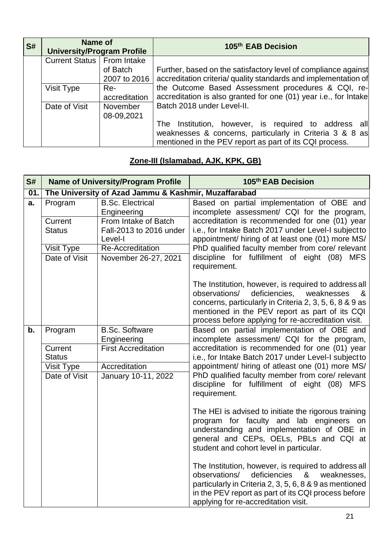| <b>S#</b> | Name of<br><b>University/Program Profile</b> |               | 105th EAB Decision                                               |
|-----------|----------------------------------------------|---------------|------------------------------------------------------------------|
|           | Current Status   From Intake                 |               |                                                                  |
|           |                                              | of Batch      | Further, based on the satisfactory level of compliance against   |
|           |                                              | 2007 to 2016  | accreditation criteria/ quality standards and implementation of  |
|           | Visit Type                                   | Re-           | the Outcome Based Assessment procedures & CQI, re-               |
|           |                                              | accreditation | accreditation is also granted for one (01) year i.e., for Intake |
|           | Date of Visit                                | November      | Batch 2018 under Level-II.                                       |
|           |                                              | 08-09,2021    |                                                                  |
|           |                                              |               | The Institution, however, is required to address all             |
|           |                                              |               | weaknesses & concerns, particularly in Criteria 3 & 8 as         |
|           |                                              |               | mentioned in the PEV report as part of its CQI process.          |

### **Zone-III (Islamabad, AJK, KPK, GB)**

| S#  | <b>Name of University/Program Profile</b> |                                                            | 105th EAB Decision                                                                                                                                                                                                                                                            |
|-----|-------------------------------------------|------------------------------------------------------------|-------------------------------------------------------------------------------------------------------------------------------------------------------------------------------------------------------------------------------------------------------------------------------|
| 01. |                                           | The University of Azad Jammu & Kashmir, Muzaffarabad       |                                                                                                                                                                                                                                                                               |
| a.  | Program                                   | <b>B.Sc. Electrical</b><br>Engineering                     | Based on partial implementation of OBE and<br>incomplete assessment/ CQI for the program,                                                                                                                                                                                     |
|     | Current<br><b>Status</b>                  | From Intake of Batch<br>Fall-2013 to 2016 under<br>Level-I | accreditation is recommended for one (01) year<br>i.e., for Intake Batch 2017 under Level-I subject to<br>appointment/ hiring of at least one (01) more MS/                                                                                                                   |
|     | Visit Type                                | <b>Re-Accreditation</b>                                    | PhD qualified faculty member from core/ relevant                                                                                                                                                                                                                              |
|     | Date of Visit                             | November 26-27, 2021                                       | discipline for fulfillment of eight (08)<br><b>MFS</b><br>requirement.                                                                                                                                                                                                        |
|     |                                           |                                                            | The Institution, however, is required to address all<br>observations/<br>deficiencies,<br>weaknesses<br>&<br>concerns, particularly in Criteria 2, 3, 5, 6, 8 & 9 as<br>mentioned in the PEV report as part of its CQI<br>process before applying for re-accreditation visit. |
| b.  | Program                                   | <b>B.Sc. Software</b><br>Engineering                       | Based on partial implementation of OBE and<br>incomplete assessment/ CQI for the program,                                                                                                                                                                                     |
|     | Current<br><b>Status</b>                  | <b>First Accreditation</b>                                 | accreditation is recommended for one (01) year<br>i.e., for Intake Batch 2017 under Level-I subject to                                                                                                                                                                        |
|     | Visit Type                                | Accreditation                                              | appointment/ hiring of atleast one (01) more MS/                                                                                                                                                                                                                              |
|     | Date of Visit                             | January 10-11, 2022                                        | PhD qualified faculty member from core/ relevant<br>discipline for fulfillment of eight (08) MFS<br>requirement.                                                                                                                                                              |
|     |                                           |                                                            | The HEI is advised to initiate the rigorous training<br>program for faculty and lab engineers on<br>understanding and implementation of OBE in<br>general and CEPs, OELs, PBLs and CQI at<br>student and cohort level in particular.                                          |
|     |                                           |                                                            | The Institution, however, is required to address all<br>deficiencies<br>observations/<br>&<br>weaknesses.<br>particularly in Criteria 2, 3, 5, 6, 8 & 9 as mentioned<br>in the PEV report as part of its CQI process before<br>applying for re-accreditation visit.           |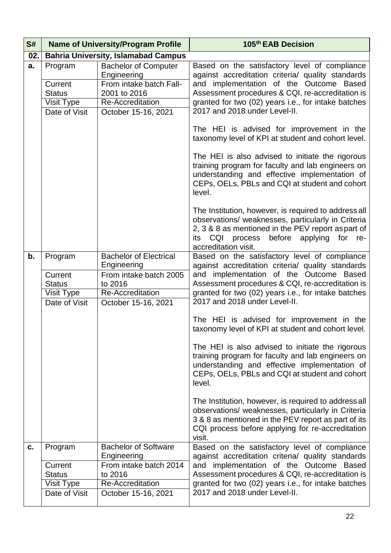| S#  |                                                                    | <b>Name of University/Program Profile</b>                                                                                               | 105th EAB Decision                                                                                                                                                                                                                                                                                                                                                                                                                                                                                                                                                                                                                                                                                                                                                                                                                                                            |
|-----|--------------------------------------------------------------------|-----------------------------------------------------------------------------------------------------------------------------------------|-------------------------------------------------------------------------------------------------------------------------------------------------------------------------------------------------------------------------------------------------------------------------------------------------------------------------------------------------------------------------------------------------------------------------------------------------------------------------------------------------------------------------------------------------------------------------------------------------------------------------------------------------------------------------------------------------------------------------------------------------------------------------------------------------------------------------------------------------------------------------------|
| 02. |                                                                    | <b>Bahria University, Islamabad Campus</b>                                                                                              |                                                                                                                                                                                                                                                                                                                                                                                                                                                                                                                                                                                                                                                                                                                                                                                                                                                                               |
| a.  | Program<br>Current<br><b>Status</b><br>Visit Type<br>Date of Visit | <b>Bachelor of Computer</b><br>Engineering<br>From intake batch Fall-<br>2001 to 2016<br><b>Re-Accreditation</b><br>October 15-16, 2021 | Based on the satisfactory level of compliance<br>against accreditation criteria/ quality standards<br>and implementation of the Outcome Based<br>Assessment procedures & CQI, re-accreditation is<br>granted for two (02) years i.e., for intake batches<br>2017 and 2018 under Level-II.<br>The HEI is advised for improvement in the                                                                                                                                                                                                                                                                                                                                                                                                                                                                                                                                        |
|     |                                                                    |                                                                                                                                         | taxonomy level of KPI at student and cohort level.<br>The HEI is also advised to initiate the rigorous<br>training program for faculty and lab engineers on<br>understanding and effective implementation of<br>CEPs, OELs, PBLs and CQI at student and cohort<br>level.<br>The Institution, however, is required to address all<br>observations/ weaknesses, particularly in Criteria<br>2, 3 & 8 as mentioned in the PEV report aspart of<br>before<br>CQI process<br>applying<br>for re-<br>its                                                                                                                                                                                                                                                                                                                                                                            |
| b.  | Program<br>Current<br><b>Status</b><br>Visit Type<br>Date of Visit | <b>Bachelor of Electrical</b><br>Engineering<br>From intake batch 2005<br>to 2016<br>Re-Accreditation<br>October 15-16, 2021            | accreditation visit.<br>Based on the satisfactory level of compliance<br>against accreditation criteria/ quality standards<br>and implementation of the Outcome Based<br>Assessment procedures & CQI, re-accreditation is<br>granted for two (02) years i.e., for intake batches<br>2017 and 2018 under Level-II.<br>The HEI is advised for improvement in the<br>taxonomy level of KPI at student and cohort level.<br>The HEI is also advised to initiate the rigorous<br>training program for faculty and lab engineers on<br>understanding and effective implementation of<br>CEPs, OELs, PBLs and CQI at student and cohort<br>level.<br>The Institution, however, is required to address all<br>observations/ weaknesses, particularly in Criteria<br>3 & 8 as mentioned in the PEV report as part of its<br>CQI process before applying for re-accreditation<br>visit. |
| c.  | Program<br>Current<br><b>Status</b><br>Visit Type<br>Date of Visit | <b>Bachelor of Software</b><br>Engineering<br>From intake batch 2014<br>to 2016<br><b>Re-Accreditation</b><br>October 15-16, 2021       | Based on the satisfactory level of compliance<br>against accreditation criteria/ quality standards<br>and implementation of the Outcome Based<br>Assessment procedures & CQI, re-accreditation is<br>granted for two (02) years i.e., for intake batches<br>2017 and 2018 under Level-II.                                                                                                                                                                                                                                                                                                                                                                                                                                                                                                                                                                                     |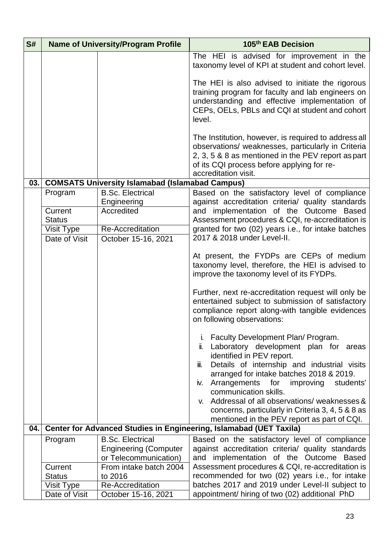| S#  | <b>Name of University/Program Profile</b> |                                                        | 105th EAB Decision                                                                                                                                                                                                                                                                                                                                                                                                                                                                                                                                                                                                                                                                                                                                                                                   |
|-----|-------------------------------------------|--------------------------------------------------------|------------------------------------------------------------------------------------------------------------------------------------------------------------------------------------------------------------------------------------------------------------------------------------------------------------------------------------------------------------------------------------------------------------------------------------------------------------------------------------------------------------------------------------------------------------------------------------------------------------------------------------------------------------------------------------------------------------------------------------------------------------------------------------------------------|
|     |                                           |                                                        | The HEI is advised for improvement in the<br>taxonomy level of KPI at student and cohort level.                                                                                                                                                                                                                                                                                                                                                                                                                                                                                                                                                                                                                                                                                                      |
|     |                                           |                                                        | The HEI is also advised to initiate the rigorous<br>training program for faculty and lab engineers on<br>understanding and effective implementation of<br>CEPs, OELs, PBLs and CQI at student and cohort<br>level.                                                                                                                                                                                                                                                                                                                                                                                                                                                                                                                                                                                   |
|     |                                           |                                                        | The Institution, however, is required to address all<br>observations/ weaknesses, particularly in Criteria<br>2, 3, 5 & 8 as mentioned in the PEV report as part<br>of its CQI process before applying for re-<br>accreditation visit.                                                                                                                                                                                                                                                                                                                                                                                                                                                                                                                                                               |
| 03. |                                           | <b>COMSATS University Islamabad (Islamabad Campus)</b> |                                                                                                                                                                                                                                                                                                                                                                                                                                                                                                                                                                                                                                                                                                                                                                                                      |
|     | Program                                   | <b>B.Sc. Electrical</b>                                | Based on the satisfactory level of compliance                                                                                                                                                                                                                                                                                                                                                                                                                                                                                                                                                                                                                                                                                                                                                        |
|     | Current                                   | Engineering<br>Accredited                              | against accreditation criteria/ quality standards<br>and implementation of the Outcome Based                                                                                                                                                                                                                                                                                                                                                                                                                                                                                                                                                                                                                                                                                                         |
|     | <b>Status</b>                             |                                                        | Assessment procedures & CQI, re-accreditation is                                                                                                                                                                                                                                                                                                                                                                                                                                                                                                                                                                                                                                                                                                                                                     |
|     | Visit Type                                | <b>Re-Accreditation</b>                                | granted for two (02) years i.e., for intake batches                                                                                                                                                                                                                                                                                                                                                                                                                                                                                                                                                                                                                                                                                                                                                  |
|     | Date of Visit                             | October 15-16, 2021                                    | 2017 & 2018 under Level-II.                                                                                                                                                                                                                                                                                                                                                                                                                                                                                                                                                                                                                                                                                                                                                                          |
|     |                                           |                                                        | At present, the FYDPs are CEPs of medium<br>taxonomy level, therefore, the HEI is advised to<br>improve the taxonomy level of its FYDPs.<br>Further, next re-accreditation request will only be<br>entertained subject to submission of satisfactory<br>compliance report along-with tangible evidences<br>on following observations:<br>Faculty Development Plan/ Program.<br>Ι.<br>Laboratory development plan for areas<br>ii.<br>identified in PEV report.<br>Details of internship and industrial visits<br>iii.<br>arranged for intake batches 2018 & 2019.<br>Arrangements for<br>improving<br>students'<br>IV.<br>communication skills.<br>v. Addressal of all observations/weaknesses &<br>concerns, particularly in Criteria 3, 4, 5 & 8 as<br>mentioned in the PEV report as part of CQI. |
| 04. |                                           |                                                        | Center for Advanced Studies in Engineering, Islamabad (UET Taxila)                                                                                                                                                                                                                                                                                                                                                                                                                                                                                                                                                                                                                                                                                                                                   |
|     | Program                                   | <b>B.Sc. Electrical</b>                                | Based on the satisfactory level of compliance                                                                                                                                                                                                                                                                                                                                                                                                                                                                                                                                                                                                                                                                                                                                                        |
|     |                                           | <b>Engineering (Computer</b><br>or Telecommunication)  | against accreditation criteria/ quality standards<br>and implementation of the Outcome Based                                                                                                                                                                                                                                                                                                                                                                                                                                                                                                                                                                                                                                                                                                         |
|     | Current                                   | From intake batch 2004                                 | Assessment procedures & CQI, re-accreditation is                                                                                                                                                                                                                                                                                                                                                                                                                                                                                                                                                                                                                                                                                                                                                     |
|     | <b>Status</b>                             | to 2016                                                | recommended for two (02) years i.e., for intake                                                                                                                                                                                                                                                                                                                                                                                                                                                                                                                                                                                                                                                                                                                                                      |
|     | Visit Type                                | <b>Re-Accreditation</b>                                | batches 2017 and 2019 under Level-II subject to                                                                                                                                                                                                                                                                                                                                                                                                                                                                                                                                                                                                                                                                                                                                                      |
|     | Date of Visit                             | October 15-16, 2021                                    | appointment/ hiring of two (02) additional PhD                                                                                                                                                                                                                                                                                                                                                                                                                                                                                                                                                                                                                                                                                                                                                       |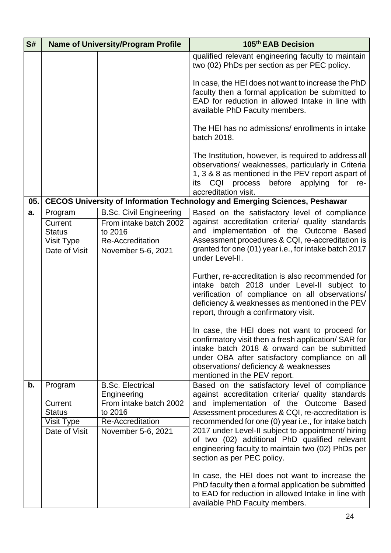| S#  | <b>Name of University/Program Profile</b> |                                                          | 105th EAB Decision                                                                                                                                                                                                                                                              |
|-----|-------------------------------------------|----------------------------------------------------------|---------------------------------------------------------------------------------------------------------------------------------------------------------------------------------------------------------------------------------------------------------------------------------|
|     |                                           |                                                          | qualified relevant engineering faculty to maintain<br>two (02) PhDs per section as per PEC policy.                                                                                                                                                                              |
|     |                                           |                                                          | In case, the HEI does not want to increase the PhD<br>faculty then a formal application be submitted to<br>EAD for reduction in allowed Intake in line with<br>available PhD Faculty members.                                                                                   |
|     |                                           |                                                          | The HEI has no admissions/ enrollments in intake<br>batch 2018.                                                                                                                                                                                                                 |
|     |                                           |                                                          | The Institution, however, is required to address all<br>observations/ weaknesses, particularly in Criteria<br>1, 3 & 8 as mentioned in the PEV report aspart of<br>before<br>CQI process<br>applying<br>for<br>re-<br>its<br>accreditation visit.                               |
| 05. |                                           |                                                          | <b>CECOS University of Information Technology and Emerging Sciences, Peshawar</b>                                                                                                                                                                                               |
| a.  | Program<br>Current                        | <b>B.Sc. Civil Engineering</b><br>From intake batch 2002 | Based on the satisfactory level of compliance<br>against accreditation criteria/ quality standards                                                                                                                                                                              |
|     | <b>Status</b>                             | to 2016<br>Re-Accreditation                              | implementation of the Outcome Based<br>and<br>Assessment procedures & CQI, re-accreditation is                                                                                                                                                                                  |
|     | Visit Type<br>Date of Visit               | November 5-6, 2021                                       | granted for one (01) year i.e., for intake batch 2017                                                                                                                                                                                                                           |
|     |                                           |                                                          | under Level-II.                                                                                                                                                                                                                                                                 |
|     |                                           |                                                          | Further, re-accreditation is also recommended for<br>intake batch 2018 under Level-II subject to<br>verification of compliance on all observations/<br>deficiency & weaknesses as mentioned in the PEV<br>report, through a confirmatory visit.                                 |
|     |                                           |                                                          | In case, the HEI does not want to proceed for<br>confirmatory visit then a fresh application/ SAR for<br>intake batch 2018 & onward can be submitted<br>under OBA after satisfactory compliance on all<br>observations/ deficiency & weaknesses<br>mentioned in the PEV report. |
| b.  | Program                                   | <b>B.Sc. Electrical</b><br>Engineering                   | Based on the satisfactory level of compliance<br>against accreditation criteria/ quality standards                                                                                                                                                                              |
|     | Current<br><b>Status</b>                  | From intake batch 2002<br>to 2016                        | and implementation of the Outcome Based<br>Assessment procedures & CQI, re-accreditation is                                                                                                                                                                                     |
|     | Visit Type                                | <b>Re-Accreditation</b>                                  | recommended for one (0) year i.e., for intake batch<br>2017 under Level-II subject to appointment/ hiring                                                                                                                                                                       |
|     | Date of Visit                             | November 5-6, 2021                                       | of two (02) additional PhD qualified relevant<br>engineering faculty to maintain two (02) PhDs per<br>section as per PEC policy.                                                                                                                                                |
|     |                                           |                                                          | In case, the HEI does not want to increase the<br>PhD faculty then a formal application be submitted<br>to EAD for reduction in allowed Intake in line with<br>available PhD Faculty members.                                                                                   |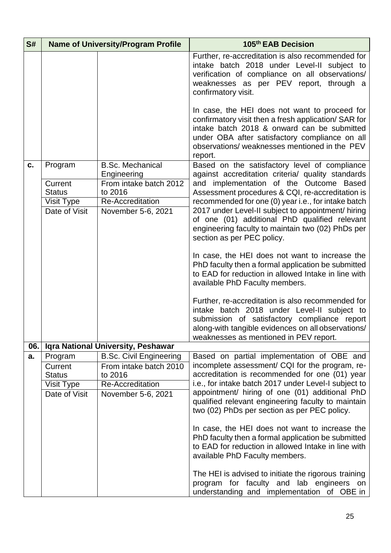| S#  |                                                         | <b>Name of University/Program Profile</b>                                                         | 105th EAB Decision                                                                                                                                                                                                                                                                                                                                                                                                                                                                                                                                                                                                                                                                                                                                                                                           |
|-----|---------------------------------------------------------|---------------------------------------------------------------------------------------------------|--------------------------------------------------------------------------------------------------------------------------------------------------------------------------------------------------------------------------------------------------------------------------------------------------------------------------------------------------------------------------------------------------------------------------------------------------------------------------------------------------------------------------------------------------------------------------------------------------------------------------------------------------------------------------------------------------------------------------------------------------------------------------------------------------------------|
|     |                                                         |                                                                                                   | Further, re-accreditation is also recommended for<br>intake batch 2018 under Level-II subject to<br>verification of compliance on all observations/<br>weaknesses as per PEV report, through a<br>confirmatory visit.                                                                                                                                                                                                                                                                                                                                                                                                                                                                                                                                                                                        |
|     |                                                         |                                                                                                   | In case, the HEI does not want to proceed for<br>confirmatory visit then a fresh application/ SAR for<br>intake batch 2018 & onward can be submitted<br>under OBA after satisfactory compliance on all<br>observations/weaknesses mentioned in the PEV<br>report.                                                                                                                                                                                                                                                                                                                                                                                                                                                                                                                                            |
| c.  | Program                                                 | <b>B.Sc. Mechanical</b>                                                                           | Based on the satisfactory level of compliance                                                                                                                                                                                                                                                                                                                                                                                                                                                                                                                                                                                                                                                                                                                                                                |
|     | Current<br><b>Status</b><br>Visit Type<br>Date of Visit | Engineering<br>From intake batch 2012<br>to 2016<br><b>Re-Accreditation</b><br>November 5-6, 2021 | against accreditation criteria/ quality standards<br>and implementation of the Outcome Based<br>Assessment procedures & CQI, re-accreditation is<br>recommended for one (0) year i.e., for intake batch<br>2017 under Level-II subject to appointment/ hiring<br>of one (01) additional PhD qualified relevant<br>engineering faculty to maintain two (02) PhDs per<br>section as per PEC policy.<br>In case, the HEI does not want to increase the<br>PhD faculty then a formal application be submitted<br>to EAD for reduction in allowed Intake in line with<br>available PhD Faculty members.<br>Further, re-accreditation is also recommended for<br>intake batch 2018 under Level-II subject to<br>submission of satisfactory compliance report<br>along-with tangible evidences on all observations/ |
| 06. |                                                         | Iqra National University, Peshawar                                                                | weaknesses as mentioned in PEV report.                                                                                                                                                                                                                                                                                                                                                                                                                                                                                                                                                                                                                                                                                                                                                                       |
| a.  | Program                                                 | <b>B.Sc. Civil Engineering</b>                                                                    | Based on partial implementation of OBE and                                                                                                                                                                                                                                                                                                                                                                                                                                                                                                                                                                                                                                                                                                                                                                   |
|     | Current<br><b>Status</b><br>Visit Type<br>Date of Visit | From intake batch 2010<br>to 2016<br>Re-Accreditation<br>November 5-6, 2021                       | incomplete assessment/ CQI for the program, re-<br>accreditation is recommended for one (01) year<br>i.e., for intake batch 2017 under Level-I subject to<br>appointment/ hiring of one (01) additional PhD<br>qualified relevant engineering faculty to maintain<br>two (02) PhDs per section as per PEC policy.                                                                                                                                                                                                                                                                                                                                                                                                                                                                                            |
|     |                                                         |                                                                                                   | In case, the HEI does not want to increase the<br>PhD faculty then a formal application be submitted<br>to EAD for reduction in allowed Intake in line with<br>available PhD Faculty members.                                                                                                                                                                                                                                                                                                                                                                                                                                                                                                                                                                                                                |
|     |                                                         |                                                                                                   | The HEI is advised to initiate the rigorous training<br>program for faculty and lab engineers on<br>understanding and implementation of OBE in                                                                                                                                                                                                                                                                                                                                                                                                                                                                                                                                                                                                                                                               |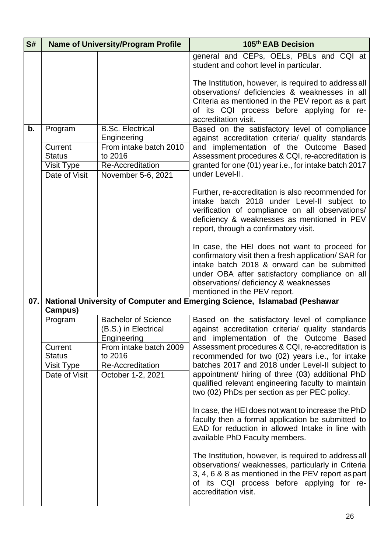| S#  |                                                         | <b>Name of University/Program Profile</b>                                          | 105th EAB Decision                                                                                                                                                                                                                                                              |
|-----|---------------------------------------------------------|------------------------------------------------------------------------------------|---------------------------------------------------------------------------------------------------------------------------------------------------------------------------------------------------------------------------------------------------------------------------------|
|     |                                                         |                                                                                    | general and CEPs, OELs, PBLs and CQI at<br>student and cohort level in particular.                                                                                                                                                                                              |
|     |                                                         |                                                                                    | The Institution, however, is required to address all<br>observations/ deficiencies & weaknesses in all<br>Criteria as mentioned in the PEV report as a part<br>of its CQI process before applying for re-<br>accreditation visit.                                               |
| b.  | Program                                                 | <b>B.Sc. Electrical</b><br>Engineering                                             | Based on the satisfactory level of compliance                                                                                                                                                                                                                                   |
|     | Current<br><b>Status</b><br>Visit Type<br>Date of Visit | From intake batch 2010<br>to 2016<br><b>Re-Accreditation</b><br>November 5-6, 2021 | against accreditation criteria/ quality standards<br>and implementation of the Outcome Based<br>Assessment procedures & CQI, re-accreditation is<br>granted for one (01) year i.e., for intake batch 2017<br>under Level-II.                                                    |
|     |                                                         |                                                                                    | Further, re-accreditation is also recommended for<br>intake batch 2018 under Level-II subject to<br>verification of compliance on all observations/<br>deficiency & weaknesses as mentioned in PEV<br>report, through a confirmatory visit.                                     |
|     |                                                         |                                                                                    | In case, the HEI does not want to proceed for<br>confirmatory visit then a fresh application/ SAR for<br>intake batch 2018 & onward can be submitted<br>under OBA after satisfactory compliance on all<br>observations/ deficiency & weaknesses<br>mentioned in the PEV report. |
| 07. | Campus)                                                 |                                                                                    | National University of Computer and Emerging Science, Islamabad (Peshawar                                                                                                                                                                                                       |
|     | Program                                                 | <b>Bachelor of Science</b><br>(B.S.) in Electrical<br>Engineering                  | Based on the satisfactory level of compliance<br>against accreditation criteria/ quality standards<br>and implementation of the Outcome Based                                                                                                                                   |
|     | Current                                                 | From intake batch 2009<br>to 2016                                                  | Assessment procedures & CQI, re-accreditation is                                                                                                                                                                                                                                |
|     | <b>Status</b><br>Visit Type                             | <b>Re-Accreditation</b>                                                            | recommended for two (02) years i.e., for intake<br>batches 2017 and 2018 under Level-II subject to                                                                                                                                                                              |
|     | Date of Visit                                           | October 1-2, 2021                                                                  | appointment/ hiring of three (03) additional PhD<br>qualified relevant engineering faculty to maintain<br>two (02) PhDs per section as per PEC policy.                                                                                                                          |
|     |                                                         |                                                                                    | In case, the HEI does not want to increase the PhD<br>faculty then a formal application be submitted to<br>EAD for reduction in allowed Intake in line with<br>available PhD Faculty members.                                                                                   |
|     |                                                         |                                                                                    | The Institution, however, is required to address all<br>observations/ weaknesses, particularly in Criteria<br>3, 4, 6 & 8 as mentioned in the PEV report as part<br>of its CQI process before applying for re-<br>accreditation visit.                                          |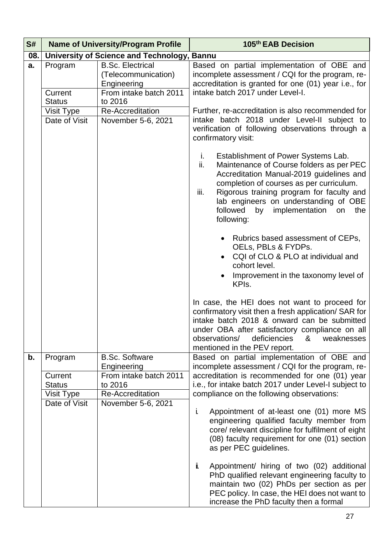| S#  | <b>Name of University/Program Profile</b>                          |                                                                                                                     | 105th EAB Decision                                                                                                                                                                                                                                                                                                                                                                                                                                                                   |
|-----|--------------------------------------------------------------------|---------------------------------------------------------------------------------------------------------------------|--------------------------------------------------------------------------------------------------------------------------------------------------------------------------------------------------------------------------------------------------------------------------------------------------------------------------------------------------------------------------------------------------------------------------------------------------------------------------------------|
| 08. | University of Science and Technology, Bannu                        |                                                                                                                     |                                                                                                                                                                                                                                                                                                                                                                                                                                                                                      |
| a.  | Program<br>Current<br><b>Status</b>                                | <b>B.Sc. Electrical</b><br>(Telecommunication)<br>Engineering<br>From intake batch 2011<br>to 2016                  | Based on partial implementation of OBE and<br>incomplete assessment / CQI for the program, re-<br>accreditation is granted for one (01) year i.e., for<br>intake batch 2017 under Level-I.                                                                                                                                                                                                                                                                                           |
|     | Visit Type<br>Date of Visit                                        | Re-Accreditation<br>November 5-6, 2021                                                                              | Further, re-accreditation is also recommended for<br>intake batch 2018 under Level-II subject to<br>verification of following observations through a<br>confirmatory visit:                                                                                                                                                                                                                                                                                                          |
|     |                                                                    |                                                                                                                     | Establishment of Power Systems Lab.<br>i.<br>Maintenance of Course folders as per PEC<br>ii.<br>Accreditation Manual-2019 guidelines and<br>completion of courses as per curriculum.<br>Rigorous training program for faculty and<br>iii.<br>lab engineers on understanding of OBE<br>followed<br>by<br>implementation<br>the<br>on<br>following:                                                                                                                                    |
|     |                                                                    |                                                                                                                     | Rubrics based assessment of CEPs,<br>OELs, PBLs & FYDPs.<br>CQI of CLO & PLO at individual and<br>cohort level.<br>Improvement in the taxonomy level of<br>KPI <sub>s</sub> .                                                                                                                                                                                                                                                                                                        |
|     |                                                                    |                                                                                                                     | In case, the HEI does not want to proceed for<br>confirmatory visit then a fresh application/ SAR for<br>intake batch 2018 & onward can be submitted<br>under OBA after satisfactory compliance on all<br>deficiencies<br>observations/<br>&<br>weaknesses<br>mentioned in the PEV report.                                                                                                                                                                                           |
| b.  | Program<br>Current<br><b>Status</b><br>Visit Type<br>Date of Visit | <b>B.Sc. Software</b><br>Engineering<br>From intake batch 2011<br>to 2016<br>Re-Accreditation<br>November 5-6, 2021 | Based on partial implementation of OBE and<br>incomplete assessment / CQI for the program, re-<br>accreditation is recommended for one (01) year<br>i.e., for intake batch 2017 under Level-I subject to<br>compliance on the following observations:<br>i.<br>Appointment of at-least one (01) more MS<br>engineering qualified faculty member from<br>core/ relevant discipline for fulfilment of eight<br>(08) faculty requirement for one (01) section<br>as per PEC guidelines. |
|     |                                                                    |                                                                                                                     | i.<br>Appointment/ hiring of two (02) additional<br>PhD qualified relevant engineering faculty to<br>maintain two (02) PhDs per section as per<br>PEC policy. In case, the HEI does not want to<br>increase the PhD faculty then a formal                                                                                                                                                                                                                                            |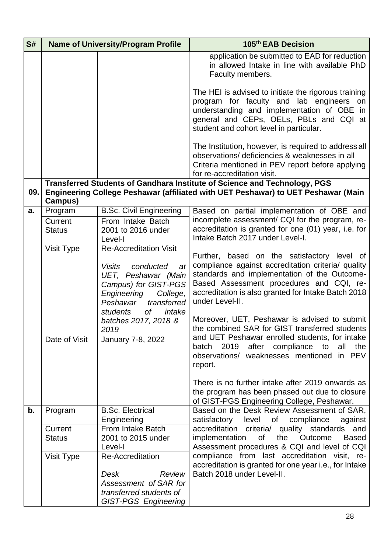| S#                                                                 | <b>Name of University/Program Profile</b>                                                                                                                                                                                                                                         |                                                                                                                                                                                                    | 105th EAB Decision                                                                                                                                                                                                                                                      |
|--------------------------------------------------------------------|-----------------------------------------------------------------------------------------------------------------------------------------------------------------------------------------------------------------------------------------------------------------------------------|----------------------------------------------------------------------------------------------------------------------------------------------------------------------------------------------------|-------------------------------------------------------------------------------------------------------------------------------------------------------------------------------------------------------------------------------------------------------------------------|
|                                                                    |                                                                                                                                                                                                                                                                                   |                                                                                                                                                                                                    | application be submitted to EAD for reduction<br>in allowed Intake in line with available PhD<br>Faculty members.                                                                                                                                                       |
|                                                                    |                                                                                                                                                                                                                                                                                   |                                                                                                                                                                                                    | The HEI is advised to initiate the rigorous training<br>program for faculty and lab engineers on<br>understanding and implementation of OBE in<br>general and CEPs, OELs, PBLs and CQI at<br>student and cohort level in particular.                                    |
|                                                                    |                                                                                                                                                                                                                                                                                   |                                                                                                                                                                                                    | The Institution, however, is required to address all<br>observations/ deficiencies & weaknesses in all<br>Criteria mentioned in PEV report before applying<br>for re-accreditation visit.                                                                               |
| 09.                                                                | Campus)                                                                                                                                                                                                                                                                           |                                                                                                                                                                                                    | Transferred Students of Gandhara Institute of Science and Technology, PGS<br>Engineering College Peshawar (affiliated with UET Peshawar) to UET Peshawar (Main                                                                                                          |
| a.                                                                 | Program                                                                                                                                                                                                                                                                           | <b>B.Sc. Civil Engineering</b>                                                                                                                                                                     | Based on partial implementation of OBE and                                                                                                                                                                                                                              |
|                                                                    | Current<br><b>Status</b>                                                                                                                                                                                                                                                          | From Intake Batch<br>2001 to 2016 under<br>Level-I                                                                                                                                                 | incomplete assessment/ CQI for the program, re-<br>accreditation is granted for one (01) year, i.e. for<br>Intake Batch 2017 under Level-I.                                                                                                                             |
|                                                                    | Visit Type                                                                                                                                                                                                                                                                        | <b>Re-Accreditation Visit</b><br><b>Visits</b><br>conducted<br>at<br>UET, Peshawar (Main<br>Campus) for GIST-PGS<br>Engineering<br>College,<br>transferred<br>Peshawar<br>0f<br>students<br>intake | Further, based on the satisfactory level of<br>compliance against accreditation criteria/ quality<br>standards and implementation of the Outcome-<br>Based Assessment procedures and CQI, re-<br>accreditation is also granted for Intake Batch 2018<br>under Level-II. |
| batches 2017, 2018 &<br>2019<br>Date of Visit<br>January 7-8, 2022 | Moreover, UET, Peshawar is advised to submit<br>the combined SAR for GIST transferred students<br>and UET Peshawar enrolled students, for intake<br>2019<br>after<br>compliance<br>to<br>all<br>the<br>batch<br><b>PEV</b><br>observations/ weaknesses mentioned<br>in<br>report. |                                                                                                                                                                                                    |                                                                                                                                                                                                                                                                         |
|                                                                    |                                                                                                                                                                                                                                                                                   |                                                                                                                                                                                                    | There is no further intake after 2019 onwards as<br>the program has been phased out due to closure<br>of GIST-PGS Engineering College, Peshawar.                                                                                                                        |
| b.                                                                 | Program                                                                                                                                                                                                                                                                           | <b>B.Sc. Electrical</b><br>Engineering                                                                                                                                                             | Based on the Desk Review Assessment of SAR,<br>level<br>of<br>compliance<br>satisfactory<br>against                                                                                                                                                                     |
|                                                                    | Current<br><b>Status</b>                                                                                                                                                                                                                                                          | From Intake Batch<br>2001 to 2015 under<br>Level-I                                                                                                                                                 | accreditation criteria/ quality standards<br>and<br>the<br>implementation<br>of<br>Outcome<br><b>Based</b><br>Assessment procedures & CQI and level of CQI                                                                                                              |
|                                                                    | Visit Type                                                                                                                                                                                                                                                                        | Re-Accreditation<br>Desk<br>Review<br>Assessment of SAR for<br>transferred students of                                                                                                             | compliance from last accreditation visit, re-<br>accreditation is granted for one year i.e., for Intake<br>Batch 2018 under Level-II.                                                                                                                                   |
|                                                                    |                                                                                                                                                                                                                                                                                   | <b>GIST-PGS Engineering</b>                                                                                                                                                                        |                                                                                                                                                                                                                                                                         |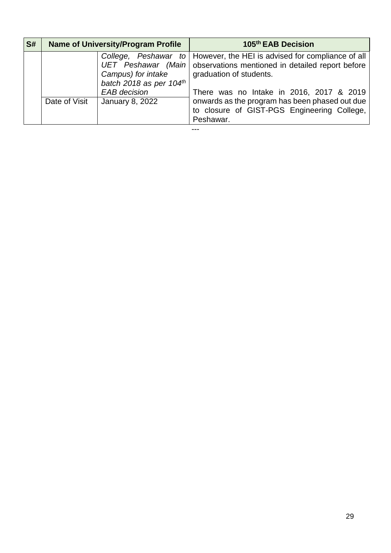| S# | <b>Name of University/Program Profile</b> |                                                                      | 105 <sup>th</sup> EAB Decision                                                                                                                                                                                          |
|----|-------------------------------------------|----------------------------------------------------------------------|-------------------------------------------------------------------------------------------------------------------------------------------------------------------------------------------------------------------------|
|    |                                           | Campus) for intake<br>batch 2018 as per 104th<br><b>EAB</b> decision | College, Peshawar to   However, the HEI is advised for compliance of all<br>UET Peshawar (Main) observations mentioned in detailed report before<br>graduation of students.<br>There was no Intake in 2016, 2017 & 2019 |
|    | Date of Visit                             | January 8, 2022                                                      | onwards as the program has been phased out due<br>to closure of GIST-PGS Engineering College,<br>Peshawar.                                                                                                              |

---